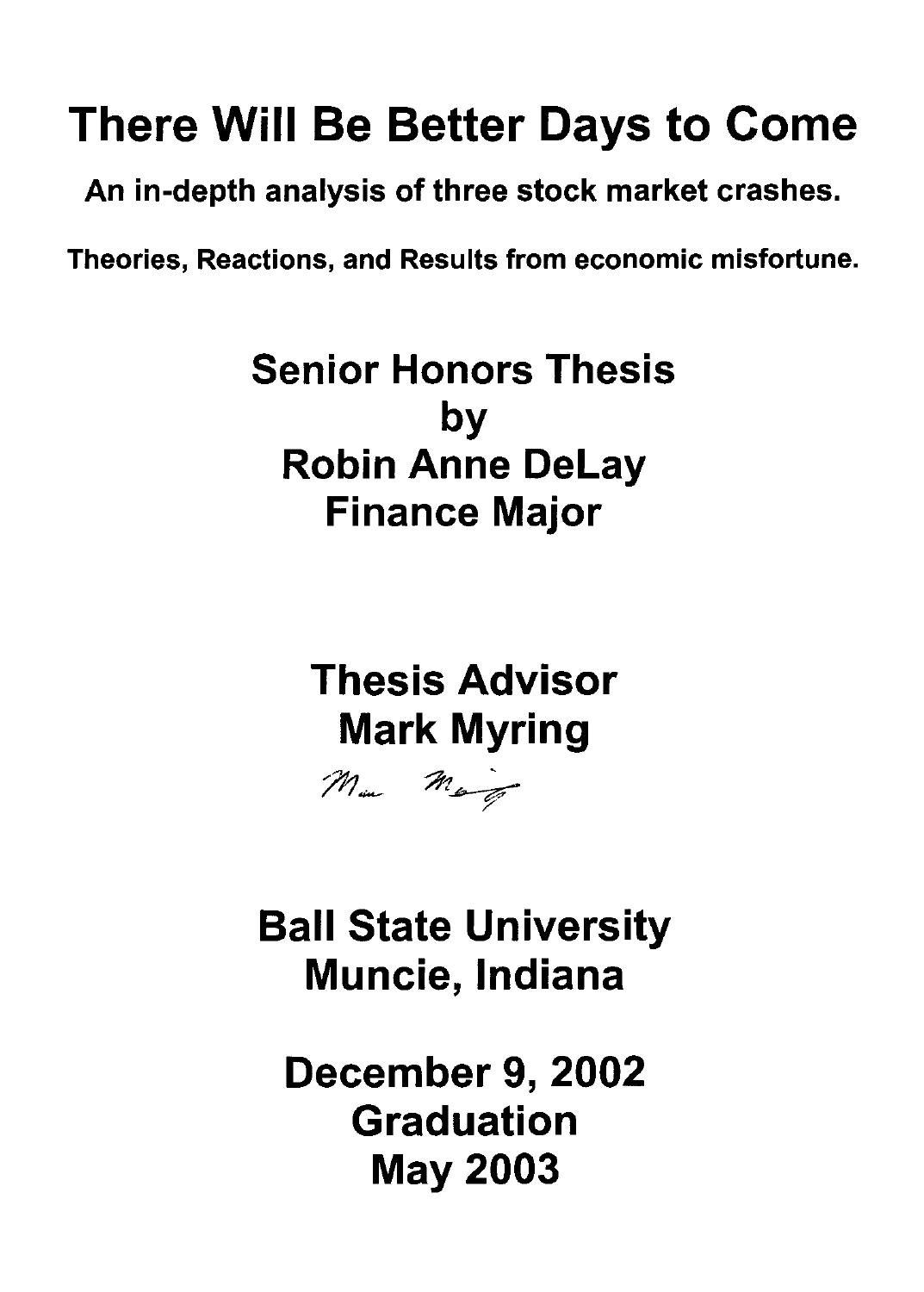# There Will Be Better Days to Come

An in-depth analysis of three stock market crashes.

Theories, Reactions, and Results from economic misfortune.

Senior Honors Thesis by Robin Anne Delay **Finance Major** 

> Thesis Advisor Mark Myring



Ball State University Muncie, Indiana

December 9, 2002 Graduation May 2003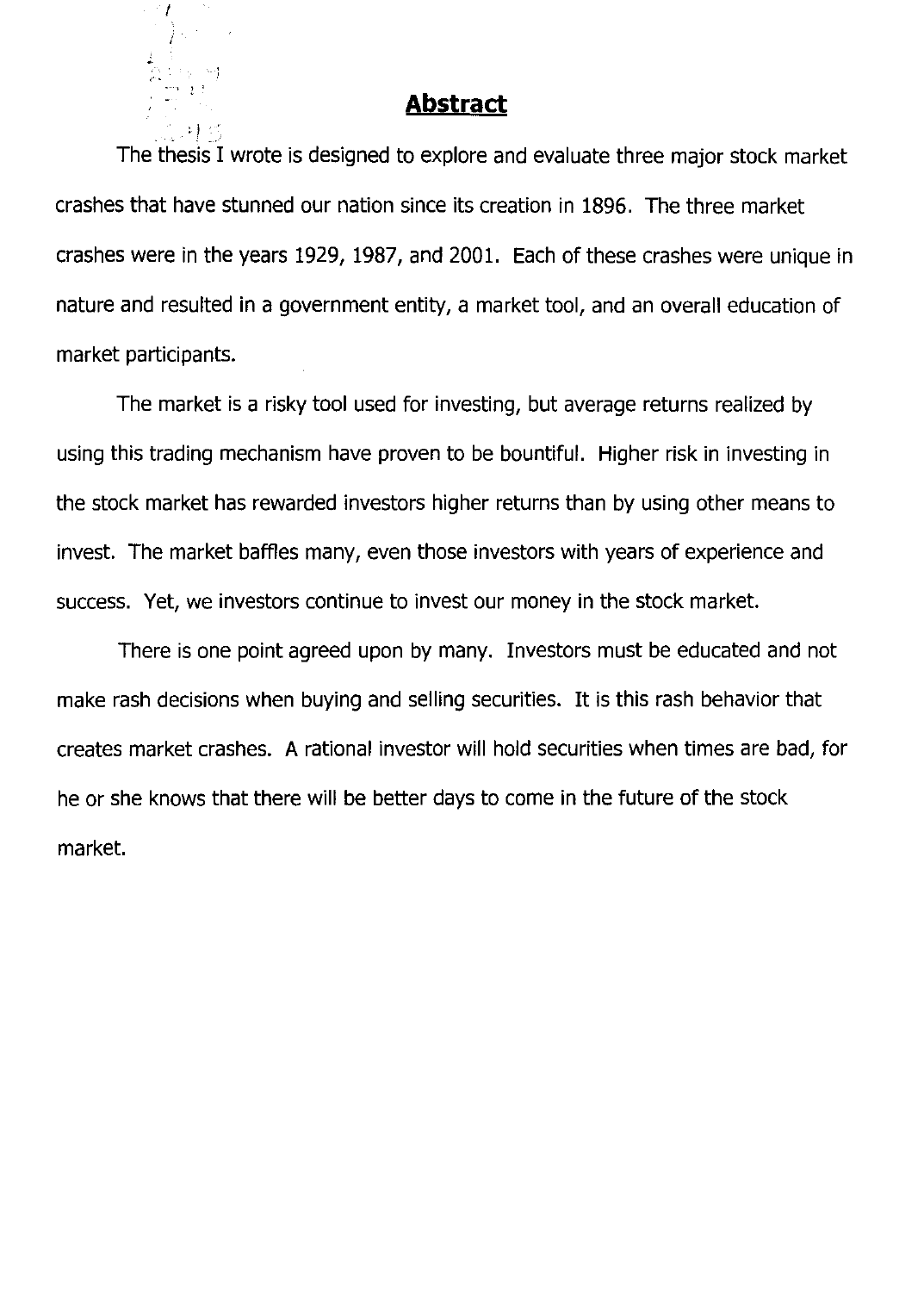## **Abstract**

--, \ ,

 $: \mathbb{R} \times \mathbb{R}$ 

The thesis I wrote is designed to explore and evaluate three major stock market crashes that have stunned our nation since its creation in 1896. The three market crashes were in the years 1929, 1987, and 2001. Each of these crashes were unique in nature and resulted in a government entity, a market tool, and an overall education of market participants.

The market is a risky tool used for investing, but average returns realized by using this trading mechanism have proven to be bountiful. Higher risk in investing in the stock market has rewarded investors higher returns than by using other means to invest. The market baffles many, even those investors with years of experience and success. Yet, we investors continue to invest our money in the stock market.

There is one point agreed upon by many. Investors must be educated and not make rash decisions when buying and selling securities. It is this rash behavior that creates market crashes. A rational investor will hold securities when times are bad, for he or she knows that there will be better days to come in the future of the stock market.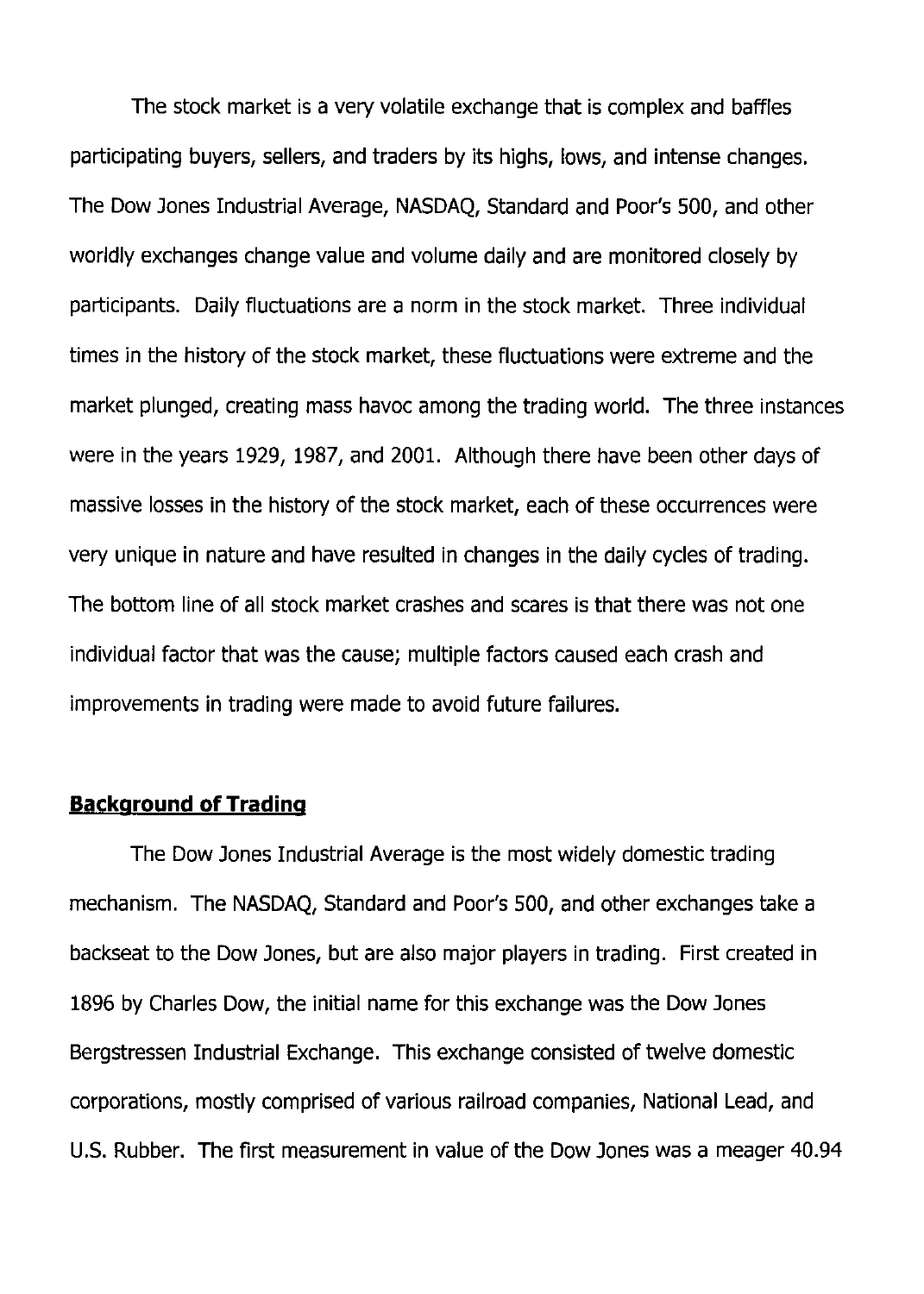The stock market is a very volatile exchange that is complex and baffles participating buyers, sellers, and traders by its highs, lows, and intense changes. The Dow Jones Industrial Average, NASDAQ, Standard and Poor's 500, and other worldly exchanges change value and volume daily and are monitored closely by participants. Daily fluctuations are a norm in the stock market. Three individual times in the history of the stock market, these fluctuations were extreme and the market plunged, creating mass havoc among the trading world. The three instances were in the years 1929, 1987, and 2001. Although there have been other days of massive losses in the history of the stock market, each of these occurrences were very unique in nature and have resulted in changes in the daily cycles of trading. The bottom line of all stock market crashes and scares is that there was not one individual factor that was the cause; multiple factors caused each crash and improvements in trading were made to avoid future failures.

### **Background of Trading**

The Dow Jones Industrial Average is the most widely domestic trading mechanism. The NASDAQ, Standard and Poor's 500, and other exchanges take a backseat to the Dow Jones, but are also major players in trading. First created in 1896 by Charles DOw, the initial name for this exchange was the Dow Jones Bergstressen Industrial Exchange. This exchange consisted of twelve domestic corporations, mostly comprised of various railroad companies, National Lead, and U.S. Rubber. The first measurement in value of the Dow Jones was a meager 40.94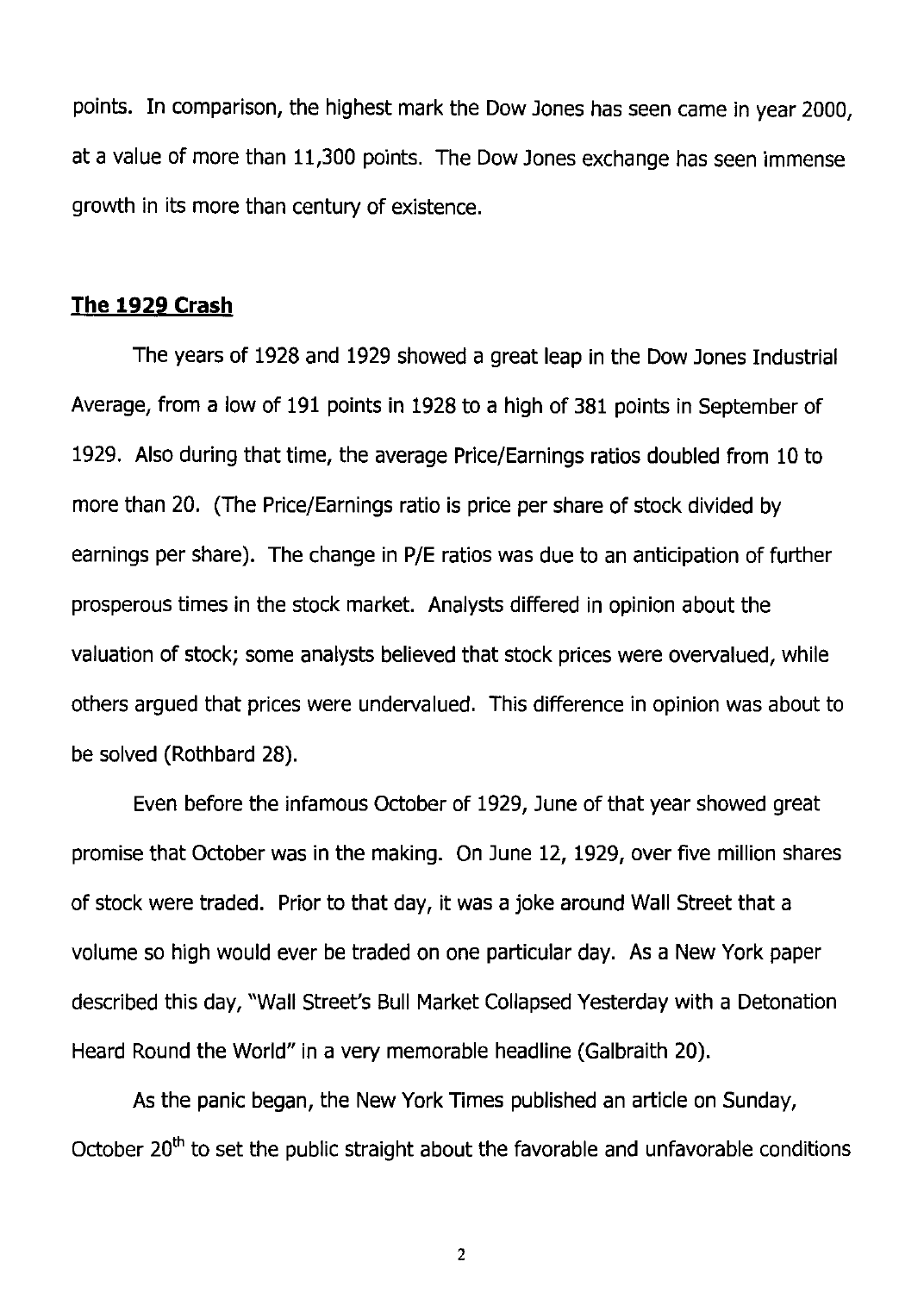points. In comparison, the highest mark the Dow Jones has seen came in year 2000, at a value of more than 11,300 points. The Dow Jones exchange has seen immense growth in its more than century of existence.

#### **The 1929 Crash**

The years of 1928 and 1929 showed a great leap in the Dow Jones Industrial Average, from a low of 191 points in 1928 to a high of 381 points in September of 1929. Also during that time, the average Price/Earnings ratios doubled from 10 to more than 20. (The Price/Earnings ratio is price per share of stock divided by earnings per share). The change in P/E ratios was due to an anticipation of further prosperous times in the stock market. Analysts differed in opinion about the valuation of stock; some analysts believed that stock prices were overvalued, while others argued that prices were undervalued. This difference in opinion was about to be solved (Rothbard 28).

Even before the infamous October of 1929, June of that year showed great promise that October was in the making. On June 12, 1929, over five million shares of stock were traded. Prior to that day, it was a joke around Wall Street that a volume so high would ever be traded on one particular day. As a New York paper described this day, "Wall Street's Bull Market Collapsed Yesterday with a Detonation Heard Round the World" in a very memorable headline (Galbraith 20).

As the panic began, the New York Times published an article on Sunday, October  $20<sup>th</sup>$  to set the public straight about the favorable and unfavorable conditions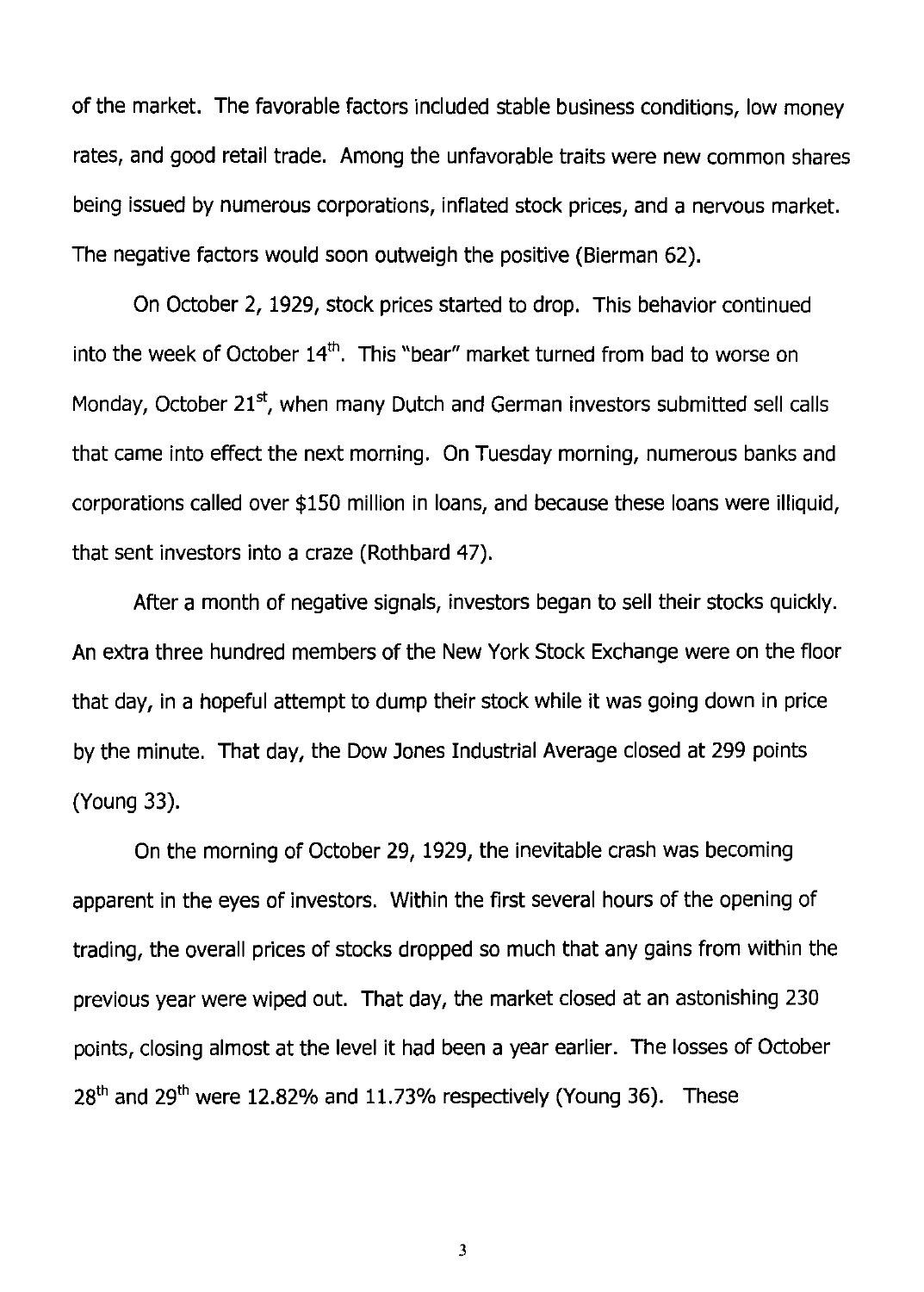of the market. The favorable factors included stable business conditions, low money rates, and good retail trade. Among the unfavorable traits were new common shares being issued by numerous corporations, inflated stock prices, and a nervous market. The negative factors would soon outweigh the positive (Bierman 62).

On October 2, 1929, stock prices started to drop. This behavior continued into the week of October  $14<sup>th</sup>$ . This "bear" market turned from bad to worse on Monday, October  $21<sup>st</sup>$ , when many Dutch and German investors submitted sell calls that came into effect the next morning. On Tuesday morning, numerous banks and corporations called over \$150 million in loans, and because these loans were illiquid, that sent investors into a craze (Rothbard 47).

After a month of negative signals, investors began to sell their stocks quickly. An extra three hundred members of the New York Stock Exchange were on the floor that day, in a hopeful attempt to dump their stock while it was going down in price by the minute. That day, the Dow Jones Industrial Average closed at 299 points (Young 33).

On the morning of October 29, 1929, the inevitable crash was becoming apparent in the eyes of investors. Within the first several hours of the opening of trading, the overall prices of stocks dropped so much that any gains from within the previous year were wiped out. That day, the market closed at an astonishing 230 points, closing almost at the level it had been a year earlier. The losses of October  $28<sup>th</sup>$  and  $29<sup>th</sup>$  were 12.82% and 11.73% respectively (Young 36). These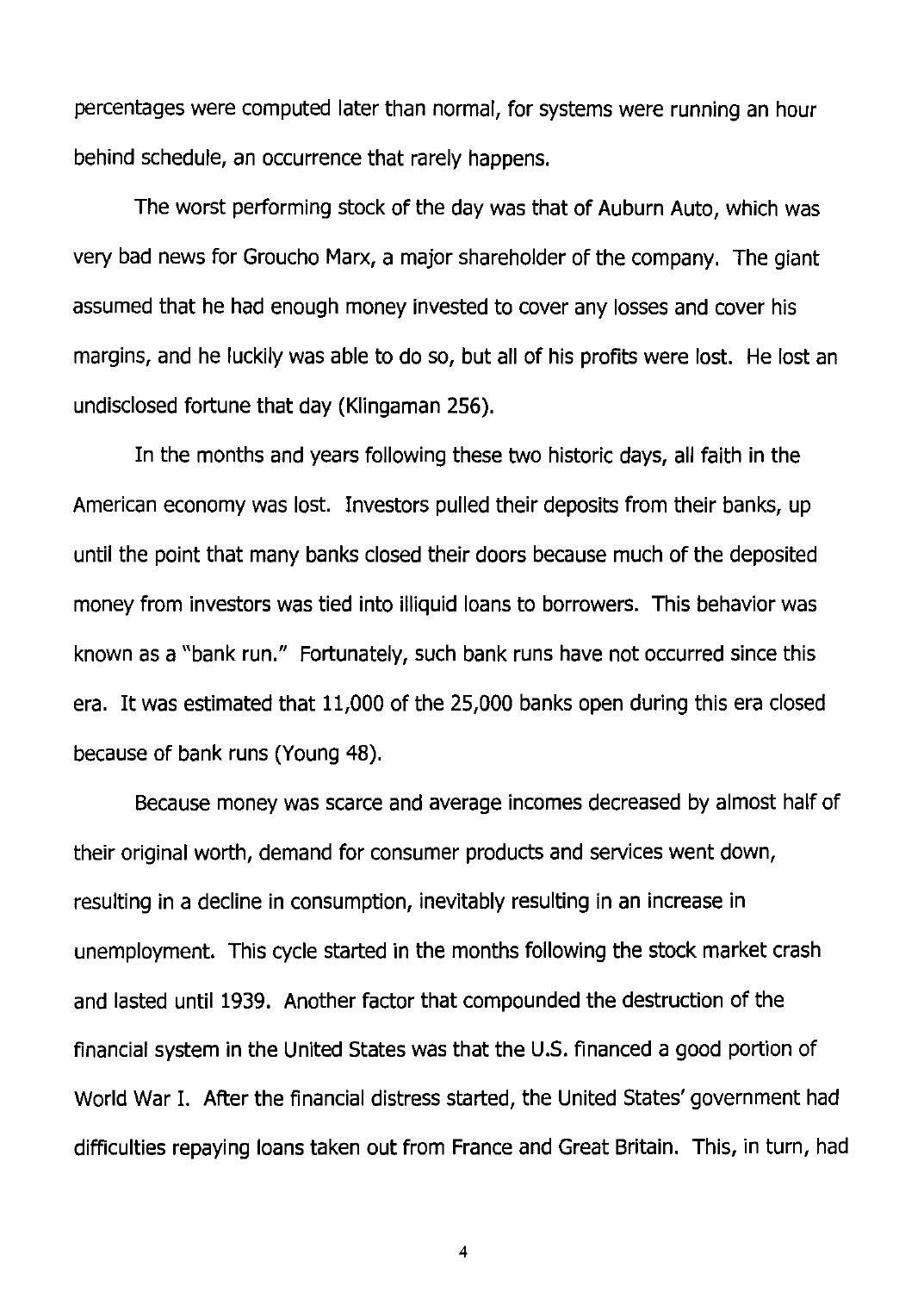percentages were computed later than normal, for systems were running an hour behind schedule, an occurrence that rarely happens.

The worst performing stock of the day was that of Auburn Auto, which was very bad news for Groucho Marx, a major shareholder of the company. The giant assumed that he had enough money invested to cover any losses and cover his margins, and he luckily was able to do so, but all of his profits were lost. He lost an undisclosed fortune that day (Klingaman 256).

In the months and years following these two historic days, all faith in the American economy was lost. Investors pulled their deposits from their banks, up until the point that many banks closed their doors because much of the deposited money from investors was tied into illiquid loans to borrowers. This behavior was known as a "bank run." Fortunately, such bank runs have not occurred since this era. It was estimated that 11,000 of the 25,000 banks open during this era closed because of bank runs (Young 48).

Because money was scarce and average incomes decreased by almost half of their original worth, demand for consumer products and services went down, resulting in a decline in consumption, inevitably resulting in an increase in unemployment. This cycle started in the months following the stock market crash and lasted until 1939. Another factor that compounded the destruction of the financial system in the United States was that the U.S. financed a good portion of World War I. After the financial distress started, the United States' government had difficulties repaying loans taken out from France and Great Britain. This, in turn, had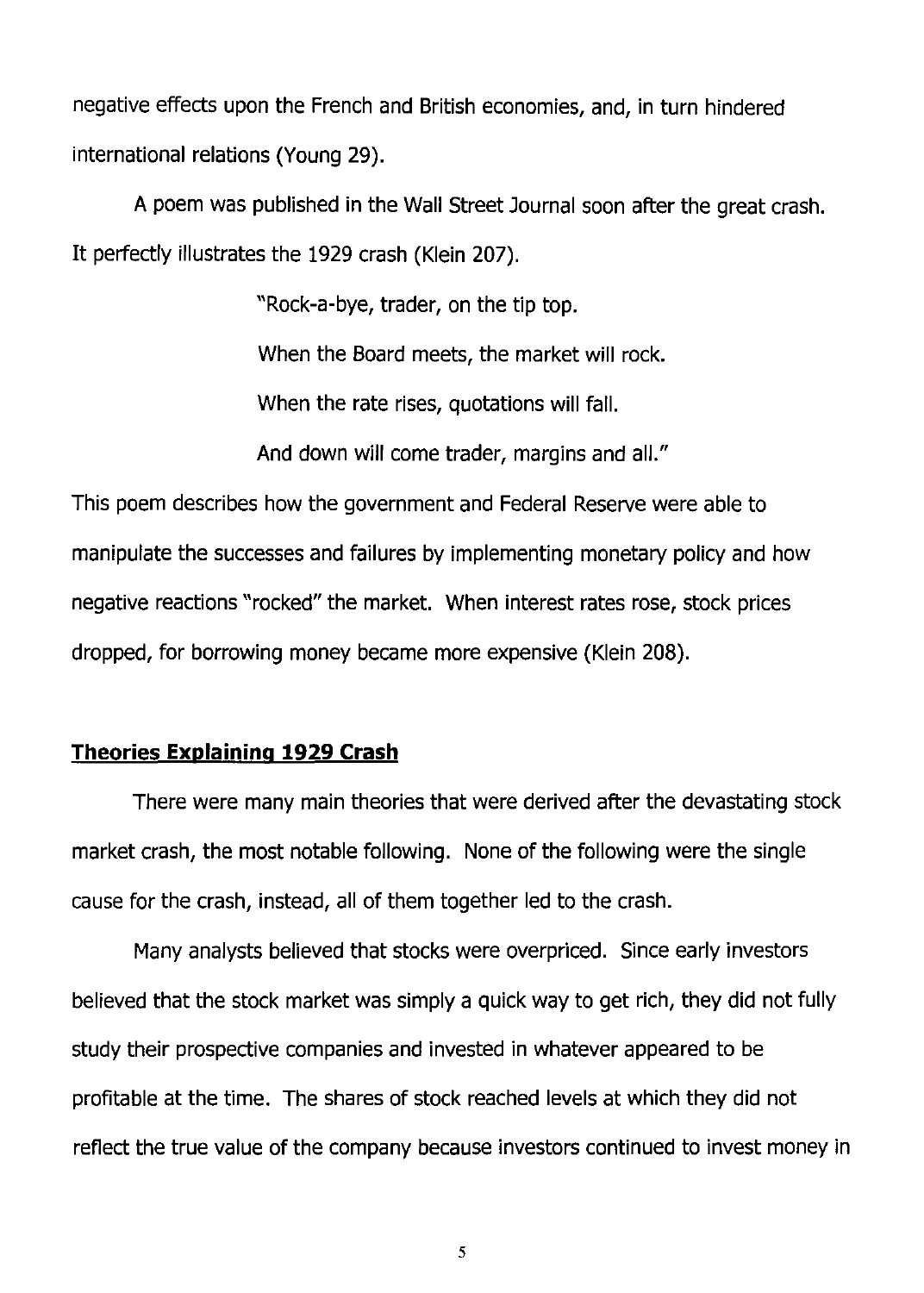negative effects upon the French and British economies, and, in turn hindered international relations (Young 29).

A poem was published in the Wall Street Journal soon after the great crash. It perfectly illustrates the 1929 crash (Klein 207).

"Rock-a-bye, trader, on the tip top.

When the Board meets, the market will rock.

When the rate rises, quotations will fall.

And down will come trader, margins and all."

This poem describes how the government and Federal Reserve were able to manipulate the successes and failures by implementing monetary policy and how negative reactions "rocked" the market. When interest rates rose, stock prices dropped, for borrowing money became more expensive (Klein 208).

## **Theories Explaining 1929 Crash**

There were many main theories that were derived after the devastating stock market crash, the most notable following. None of the following were the single cause for the crash, instead, all of them together led to the crash.

Many analysts believed that stocks were overpriced. Since early investors believed that the stock market was simply a quick way to get rich, they did not fully study their prospective companies and invested in whatever appeared to be profitable at the time. The shares of stock reached levels at which they did not reflect the true value of the company because investors continued to invest money in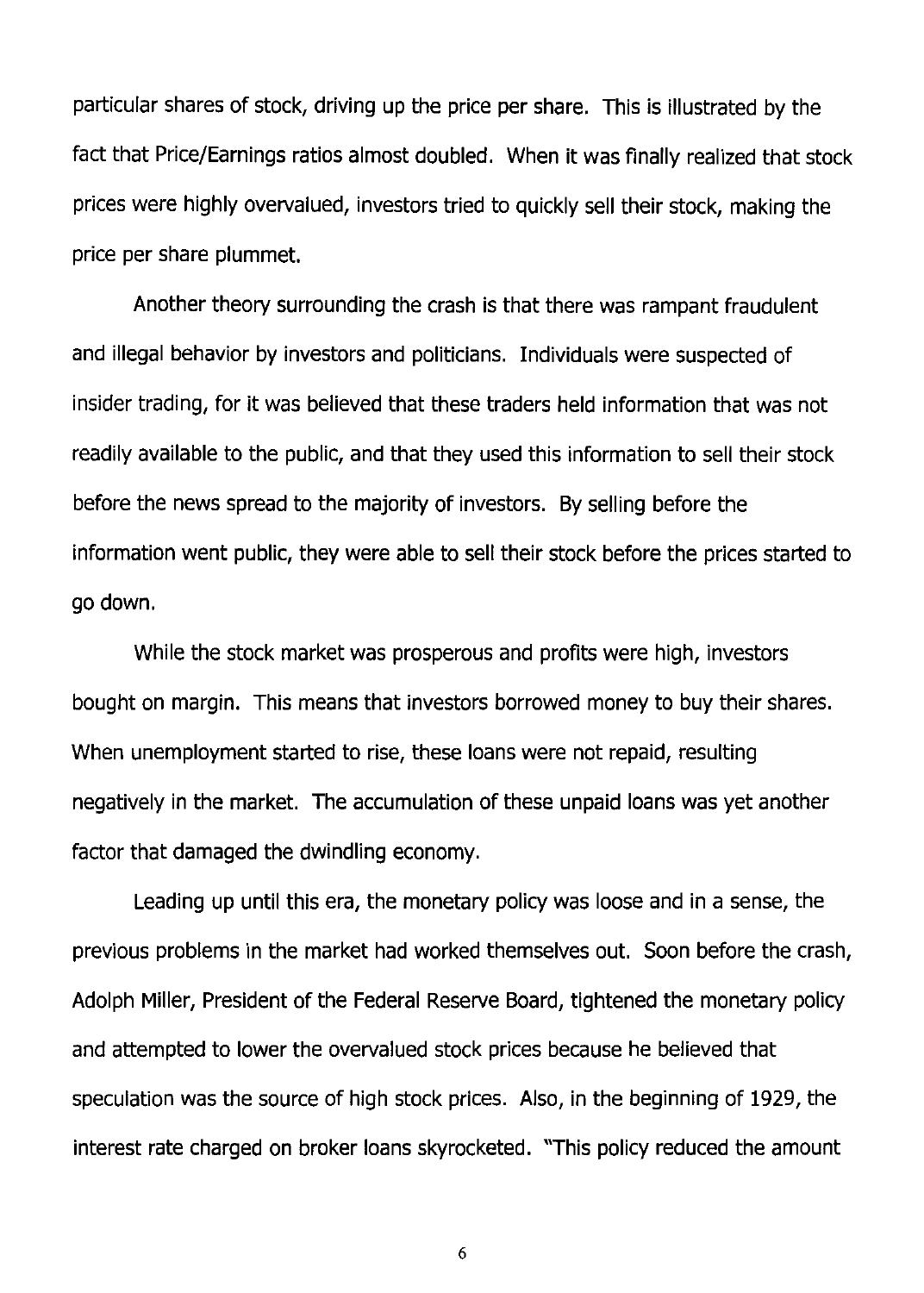particular shares of stock, driving up the price per share. This is illustrated by the fact that Price/Earnings ratios almost doubled. When it was finally realized that stock prices were highly overvalued, investors tried to quickly sell their stock, making the price per share plummet.

Another theory surrounding the crash is that there was rampant fraudulent and illegal behavior by investors and politicians. Individuals were suspected of insider trading, for it was believed that these traders held information that was not readily available to the public, and that they used this information to sell their stock before the news spread to the majority of investors. By selling before the information went public, they were able to sell their stock before the prices started to go down.

While the stock market was prosperous and profits were high, investors bought on margin. This means that investors borrowed money to buy their shares. When unemployment started to rise, these loans were not repaid, resulting negatively in the market. The accumulation of these unpaid loans was yet another factor that damaged the dwindling economy.

Leading up until this era, the monetary policy was loose and in a sense, the previous problems in the market had worked themselves out. Soon before the crash, Adolph Miller, President of the Federal Reserve Board, tightened the monetary policy and attempted to lower the overvalued stock prices because he believed that speculation was the source of high stock prices. Also, in the beginning of 1929, the interest rate charged on broker loans skyrocketed. "This policy reduced the amount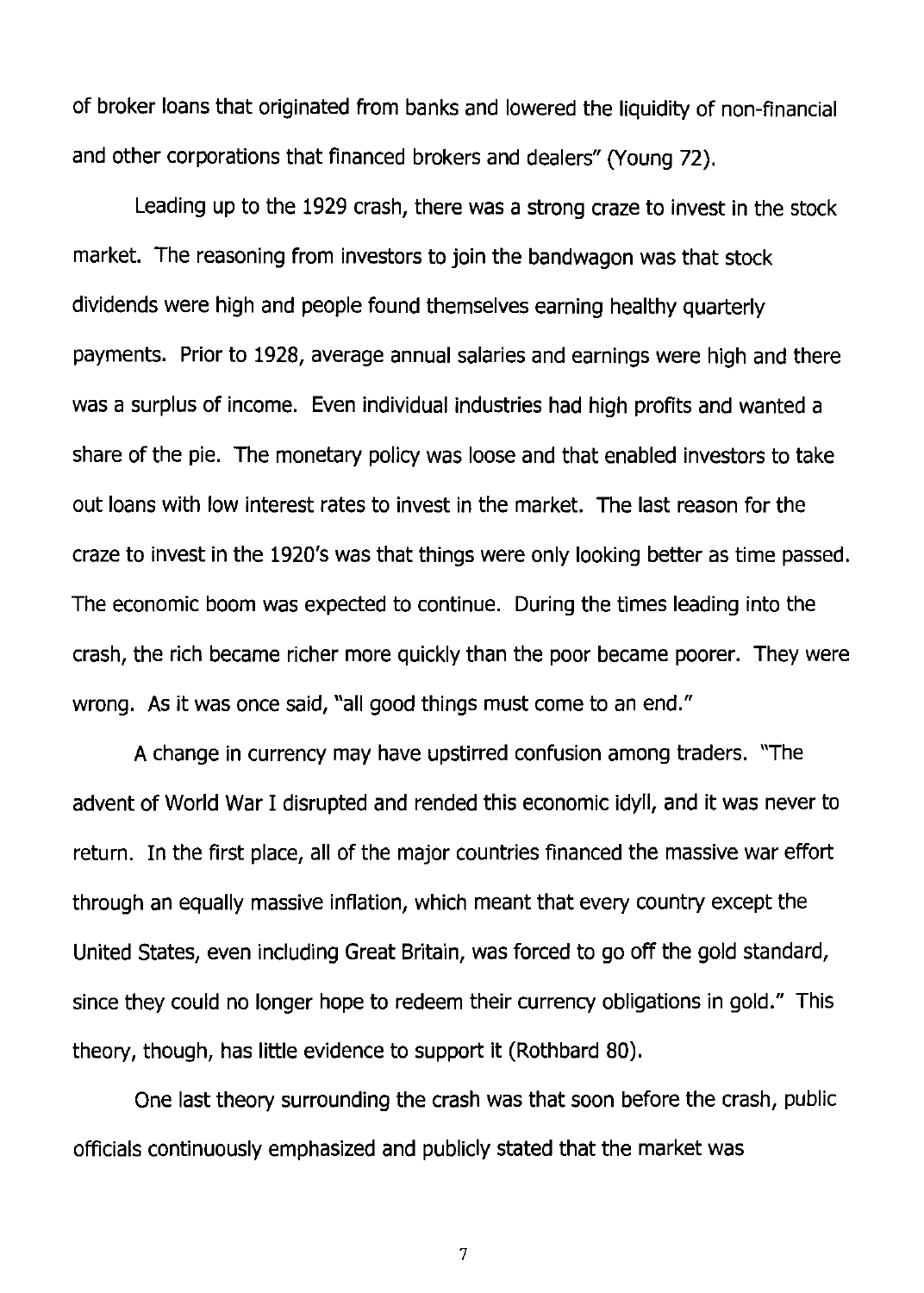of broker loans that originated from banks and lowered the liquidity of non-financial and other corporations that financed brokers and dealers" (Young 72).

Leading up to the 1929 crash, there was a strong craze to invest in the stock market. The reasoning from investors to join the bandwagon was that stock dividends were high and people found themselves earning healthy quarterly payments. Prior to 1928, average annual salaries and earnings were high and there was a surplus of income. Even individual industries had high profits and wanted a share of the pie. The monetary policy was loose and that enabled investors to take out loans with low interest rates to invest in the market. The last reason for the craze to invest in the 1920's was that things were only looking better as time passed. The economic boom was expected to continue. During the times leading into the crash, the rich became richer more quickly than the poor became poorer. They were wrong. As it was once said, "all good things must come to an end."

A change in currency may have upstirred confusion among traders. "The advent of World War I disrupted and rended this economic idyll, and it was never to return. In the first place, all of the major countries financed the massive war effort through an equally massive inflation, which meant that every country except the United States, even including Great Britain, was forced to go off the gold standard, since they could no longer hope to redeem their currency obligations in gold." This theory, though, has little evidence to support it (Rothbard 80).

One last theory surrounding the crash was that soon before the crash, public officials continuously emphasized and publicly stated that the market was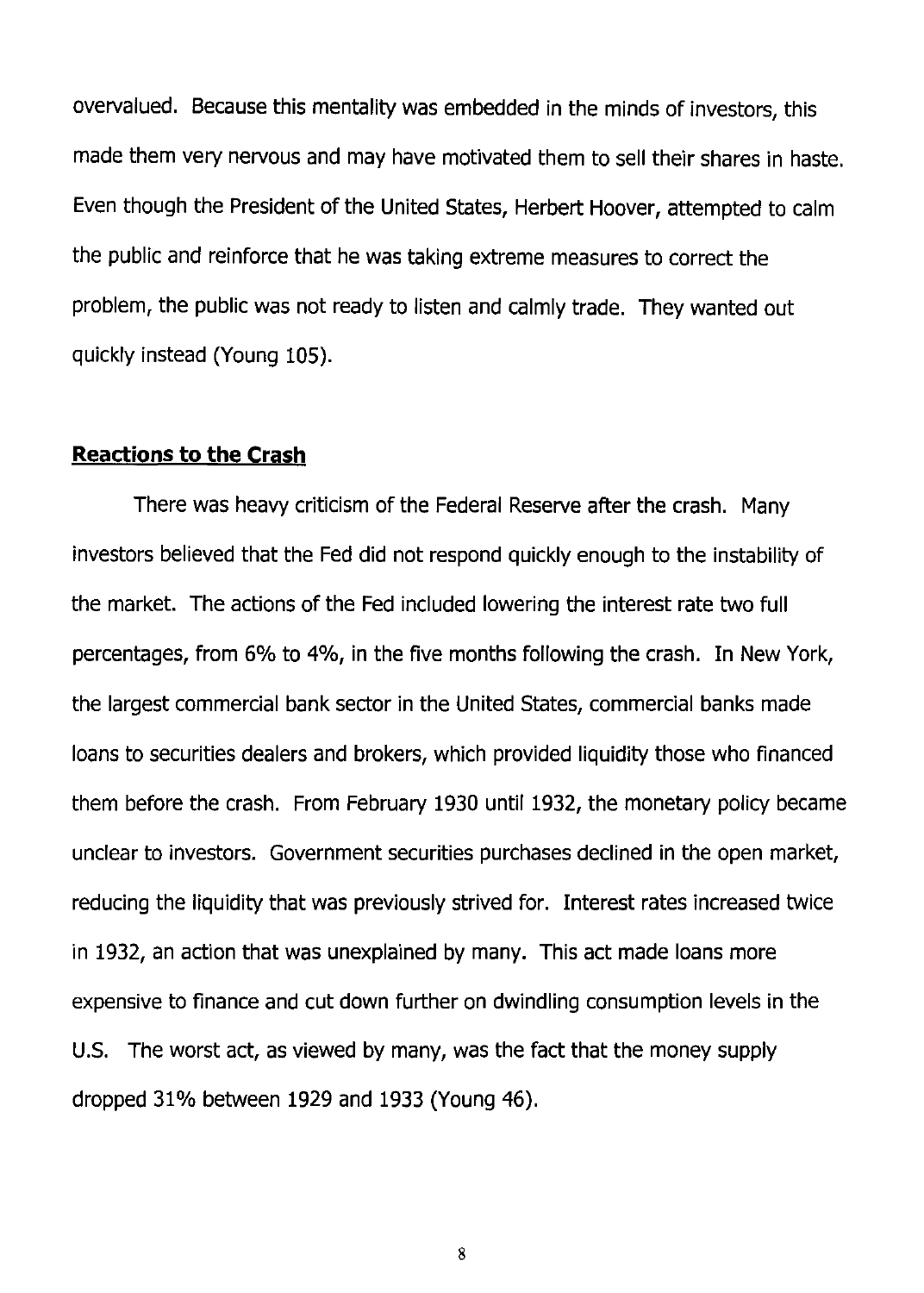overvalued. Because this mentality was embedded in the minds of investors, this made them very nervous and may have motivated them to sell their shares in haste. Even though the President of the United States, Herbert Hoover, attempted to calm the public and reinforce that he was taking extreme measures to correct the problem, the public was not ready to listen and calmly trade. They wanted out quickly instead (Young 105).

#### **Reactions to the Crash**

There was heavy criticism of the Federal Reserve after the crash. Many investors believed that the Fed did not respond quickly enough to the instability of the market. The actions of the Fed included lowering the interest rate two full percentages, from 6% to 4%, in the five months following the crash. In New York, the largest commercial bank sector in the United States, commercial banks made loans to securities dealers and brokers, which provided liquidity those who financed them before the crash. From February 1930 until 1932, the monetary policy became unclear to investors. Government securities purchases declined in the open market, reducing the liquidity that was previously strived for. Interest rates increased twice in 1932, an action that was unexplained by many. This act made loans more expensive to finance and cut down further on dwindling consumption levels in the U.s. The worst act, as viewed by many, was the fact that the money supply dropped 31% between 1929 and 1933 (Young 46).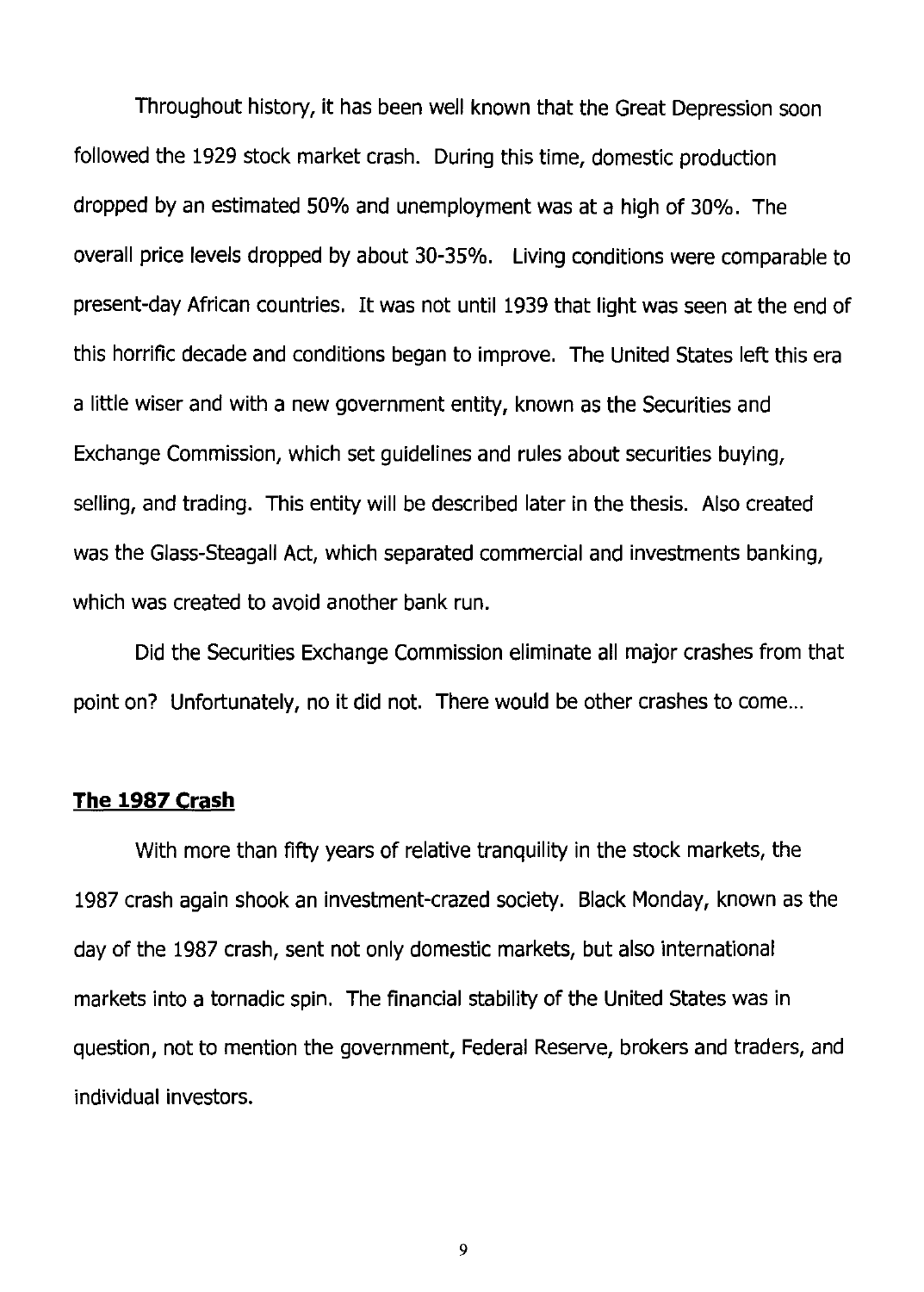Throughout history, it has been well known that the Great Depression soon followed the 1929 stock market crash. During this time, domestic production dropped by an estimated 50% and unemployment was at a high of 30%. The overall price levels dropped by about 30-35%. Living conditions were comparable to present-day African countries. It was not until 1939 that light was seen at the end of this horrific decade and conditions began to improve. The United States left this era a little wiser and with a new government entity, known as the Securities and Exchange Commission, which set guidelines and rules about securities buying, selling, and trading. This entity will be described later in the thesis. Also created was the Glass-Steagall Act, which separated commercial and investments banking, which was created to avoid another bank run.

Did the Securities Exchange Commission eliminate all major crashes from that point on? Unfortunately, no it did not. There would be other crashes to come...

#### **The 1987 Crash**

With more than fifty years of relative tranquility in the stock markets, the 1987 crash again shook an investment-crazed society. Black Monday, known as the day of the 1987 crash, sent not only domestic markets, but also international markets into a tornadic spin. The financial stability of the United States was in question, not to mention the government, Federal Reserve, brokers and traders, and individual investors.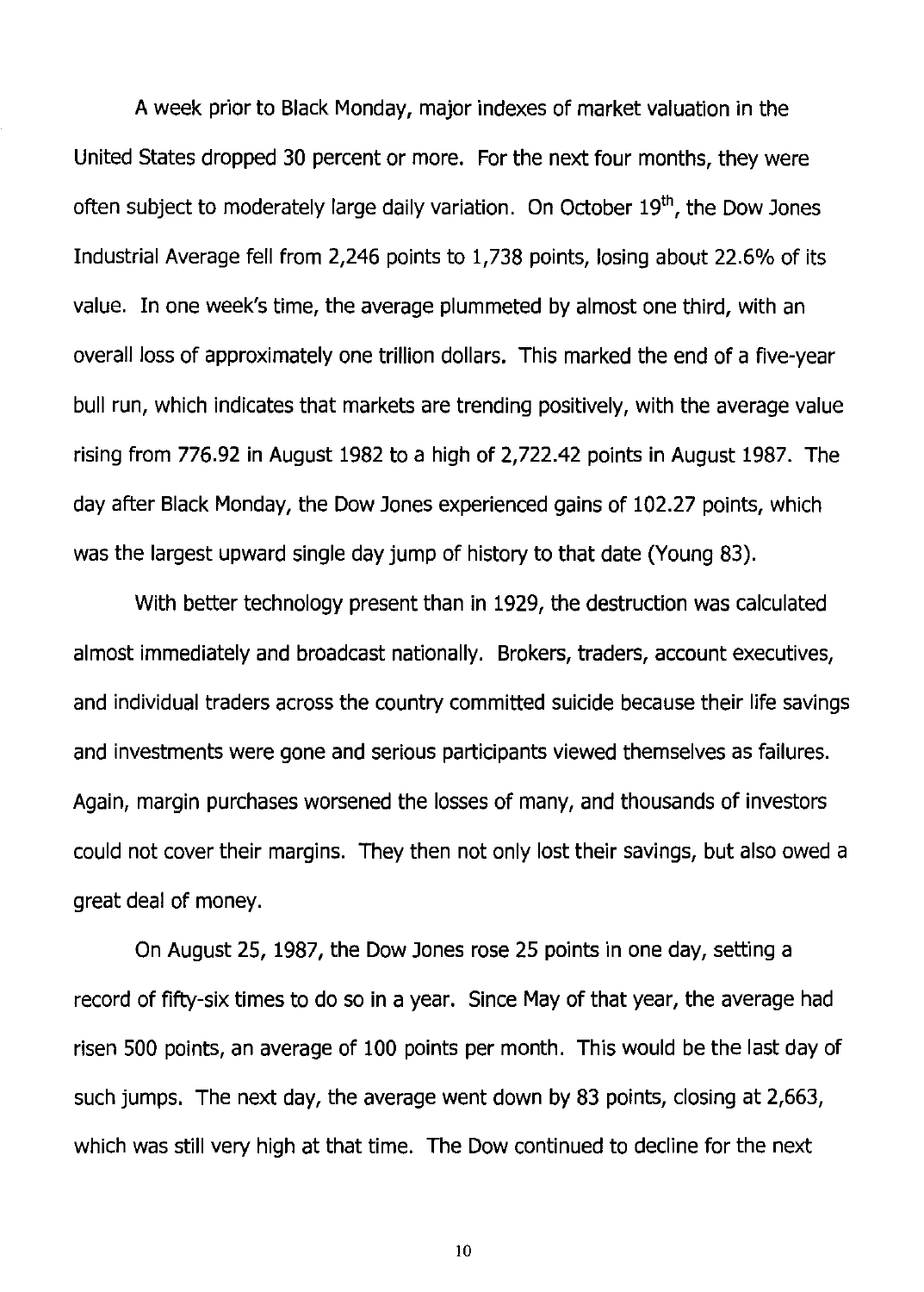A week prior to Black Monday, major indexes of market valuation in the United States dropped 30 percent or more. For the next four months, they were often subject to moderately large daily variation. On October  $19<sup>th</sup>$ , the Dow Jones Industrial Average fell from 2,246 points to 1,738 points, losing about 22.6% of its value. In one week's time, the average plummeted by almost one third, with an overall loss of approximately one trillion dollars. This marked the end of a five-year bull run, which indicates that markets are trending positively, with the average value rising from 776.92 in August 1982 to a high of 2,722.42 points in August 1987. The day after Black Monday, the Dow Jones experienced gains of 102.27 points, which was the largest upward single day jump of history to that date (Young 83).

With better technology present than in 1929, the destruction was calculated almost immediately and broadcast nationally. Brokers, traders, account executives, and individual traders across the country committed suicide because their life savings and investments were gone and serious participants viewed themselves as failures. Again, margin purchases worsened the losses of many, and thousands of investors could not cover their margins. They then not only lost their savings, but also owed a great deal of money.

On August 25, 1987, the Dow Jones rose 25 points in one day, setting a record of fifty-six times to do so in a year. Since May of that year, the average had risen 500 points, an average of 100 points per month. This would be the last day of such jumps. The next day, the average went down by 83 points, closing at 2,663, which was still very high at that time. The Dow continued to decline for the next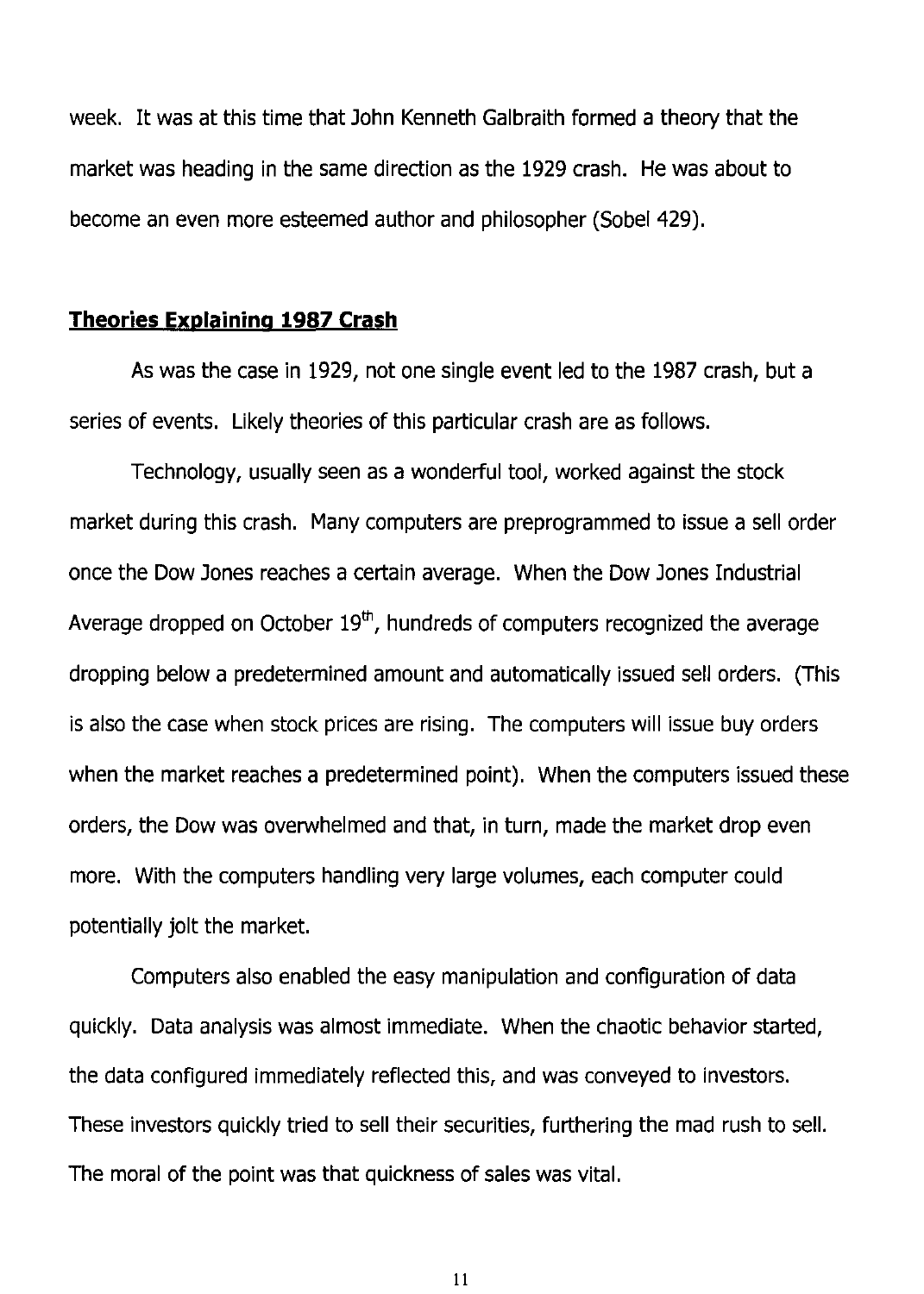week. It was at this time that John Kenneth Galbraith formed a theory that the market was heading in the same direction as the 1929 crash. He was about to become an even more esteemed author and philosopher (Sobel 429).

#### **Theories Explaining 1987 Crash**

As was the case in 1929, not one single event led to the 1987 crash, but a series of events. Likely theories of this particular crash are as follows.

Technology, usually seen as a wonderful tool, worked against the stock market during this crash. Many computers are preprogrammed to issue a sell order once the Dow Jones reaches a certain average. When the Dow Jones Industrial Average dropped on October  $19<sup>th</sup>$ , hundreds of computers recognized the average dropping below a predetermined amount and automatically issued sell orders. (This is also the case when stock prices are rising. The computers will issue buy orders when the market reaches a predetermined point). When the computers issued these orders, the Dow was overwhelmed and that, in turn, made the market drop even more. With the computers handling very large volumes, each computer could potentially jolt the market.

Computers also enabled the easy manipulation and configuration of data quickly. Data analysis was almost immediate. When the chaotic behavior started, the data configured immediately reflected this, and was conveyed to investors. These investors quickly tried to sell their securities, furthering the mad rush to sell. The moral of the point was that quickness of sales was vital.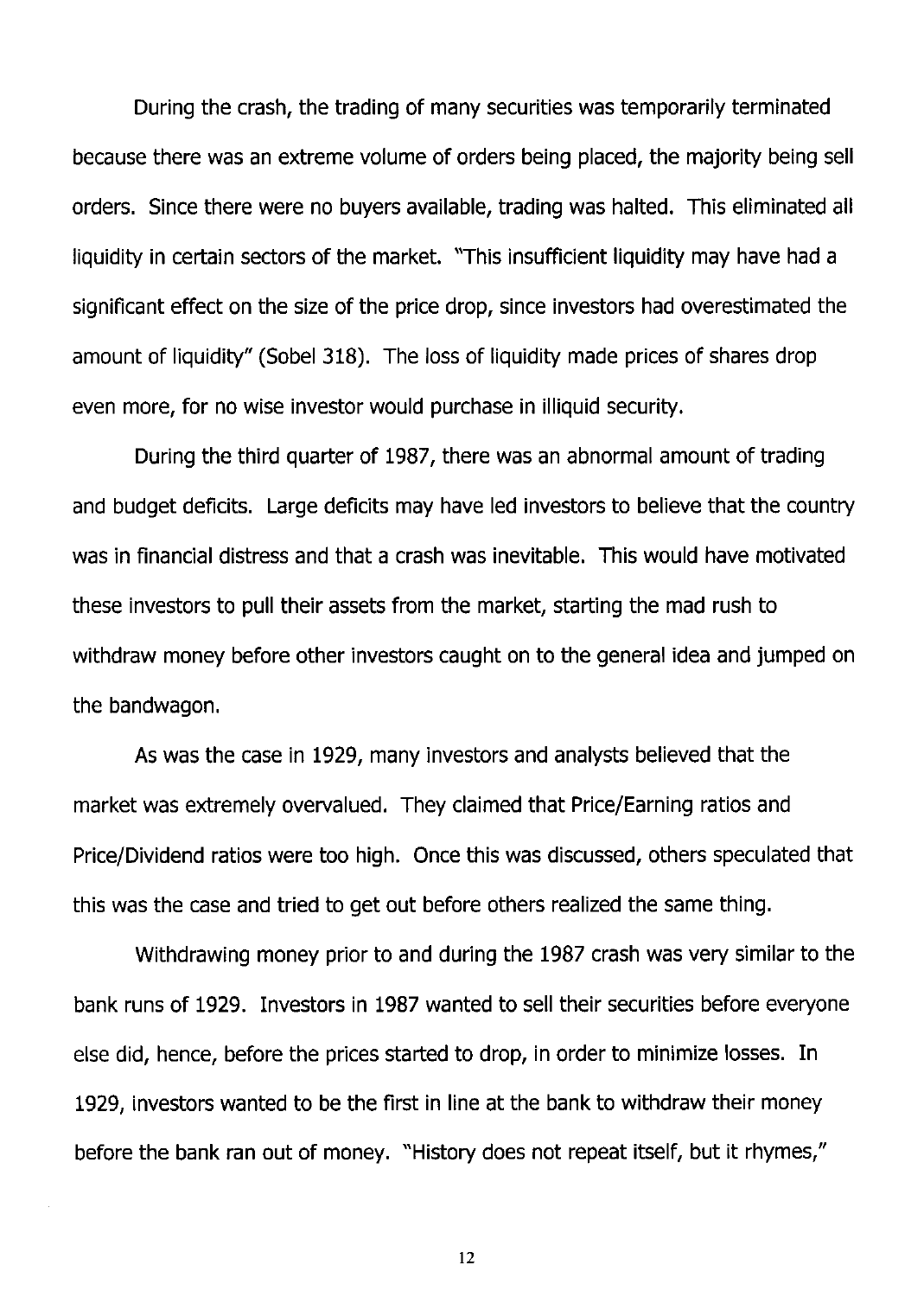During the crash, the trading of many securities was temporarily terminated because there was an extreme volume of orders being placed, the majority being sell orders. Since there were no buyers available, trading was halted. This eliminated all liquidity in certain sectors of the market. "This insufficient liquidity may have had a significant effect on the size of the price drop, since investors had overestimated the amount of liquidity" (Sobel 318). The loss of liquidity made prices of shares drop even more, for no wise investor would purchase in illiquid security.

During the third quarter of 1987, there was an abnormal amount of trading and budget deficits. Large deficits may have led investors to believe that the country was in financial distress and that a crash was inevitable. This would have motivated these investors to pull their assets from the market, starting the mad rush to withdraw money before other investors caught on to the general idea and jumped on the bandwagon.

As was the case in 1929, many investors and analysts believed that the market was extremely overvalued. They claimed that Price/Earning ratios and Price/Dividend ratios were too high. Once this was discussed, others speculated that this was the case and tried to get out before others realized the same thing.

Withdrawing money prior to and during the 1987 crash was very similar to the bank runs of 1929. Investors in 1987 wanted to sell their securities before everyone else did, hence, before the prices started to drop, in order to minimize losses. In 1929, investors wanted to be the first in line at the bank to withdraw their money before the bank ran out of money. "History does not repeat itself, but it rhymes,"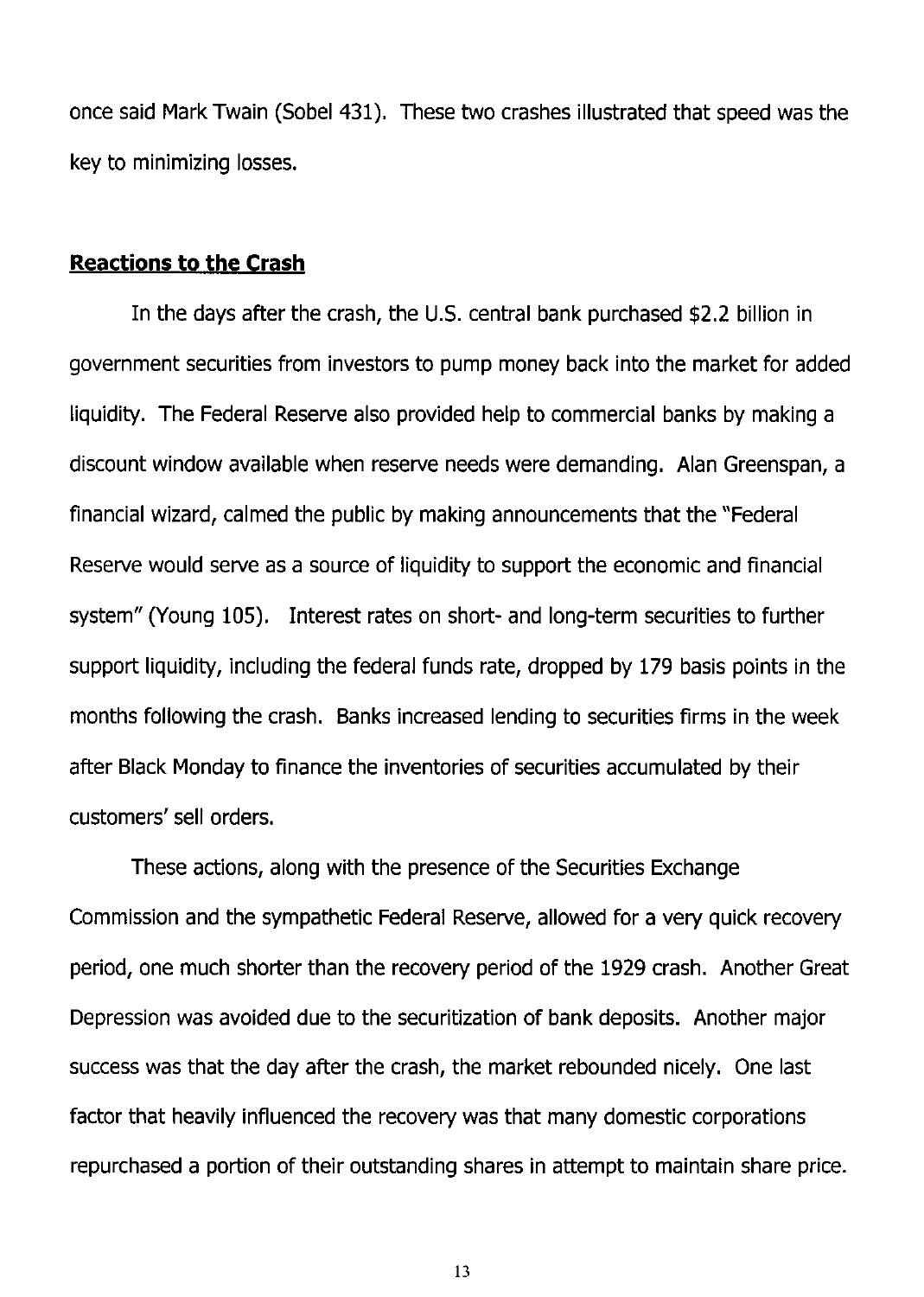once said Mark Twain (Sobel 431). These two crashes illustrated that speed was the key to minimizing losses.

#### **Reactions to the Crash**

In the days after the crash, the U.S. central bank purchased \$2.2 billion in government securities from investors to pump money back into the market for added liquidity. The Federal Reserve also provided help to commercial banks by making a discount window available when reserve needs were demanding. Alan Greenspan, a financial wizard, calmed the public by making announcements that the "Federal Reserve would serve as a source of liquidity to support the economic and financial system" (Young 105). Interest rates on short- and long-term securities to further support liquidity, including the federal funds rate, dropped by 179 basis points in the months following the crash. Banks increased lending to securities firms in the week after Black Monday to finance the inventories of securities accumulated by their customers' sell orders.

These actions, along with the presence of the Securities Exchange Commission and the sympathetic Federal Reserve, allowed for a very quick recovery period, one much shorter than the recovery period of the 1929 crash. Another Great Depression was avoided due to the securitization of bank deposits. Another major success was that the day after the crash, the market rebounded nicely. One last factor that heavily influenced the recovery was that many domestic corporations repurchased a portion of their outstanding shares in attempt to maintain share price.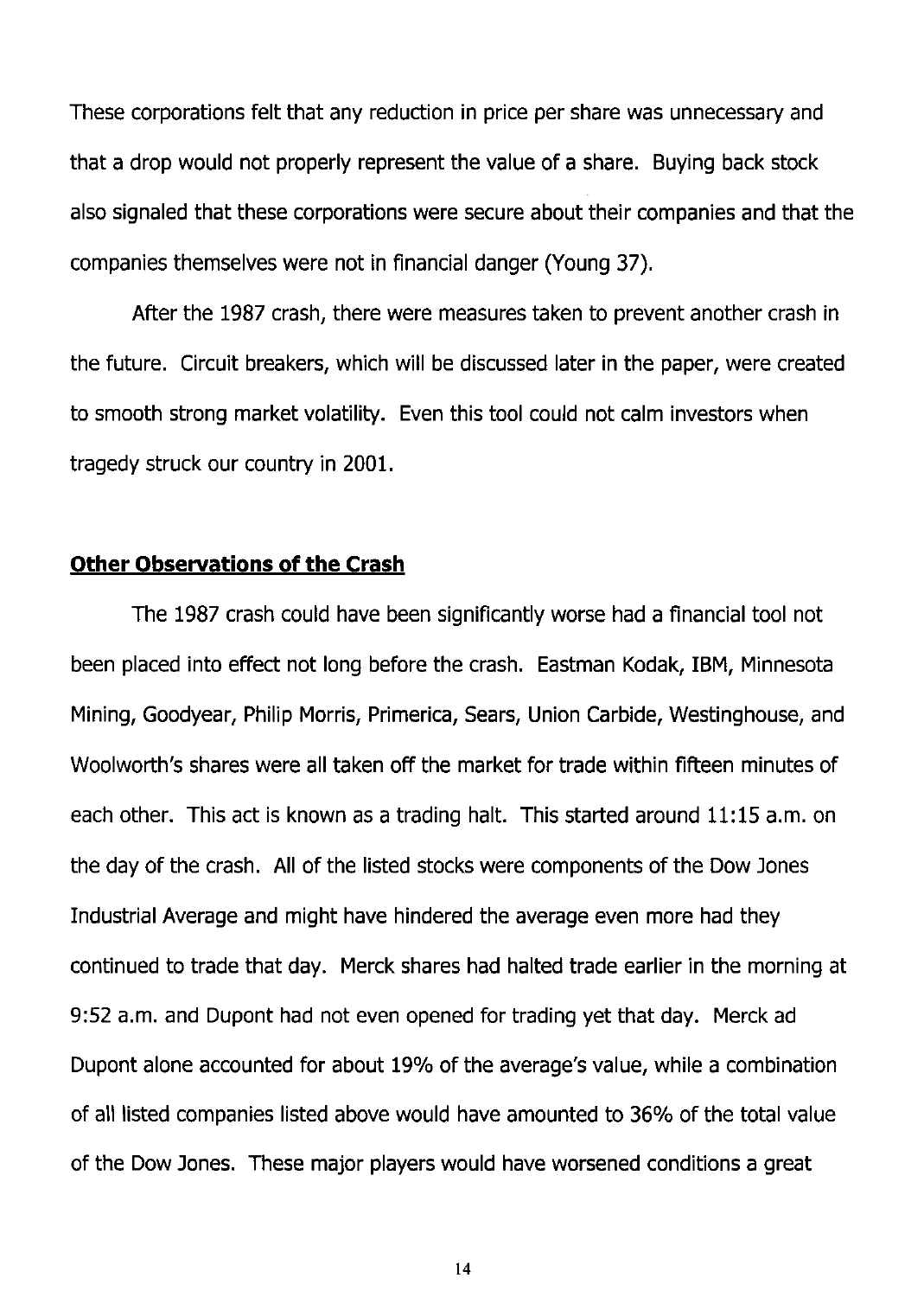These corporations felt that any reduction in price per share was unnecessary and that a drop would not properly represent the value of a share. Buying back stock also signaled that these corporations were secure about their companies and that the companies themselves were not in financial danger (Young 37).

After the 1987 crash, there were measures taken to prevent another crash in the future. Circuit breakers, which will be discussed later in the paper, were created to smooth strong market volatility. Even this tool could not calm investors when tragedy struck our country in 2001.

#### **Other Observations of the Crash**

The 1987 crash could have been significantly worse had a financial tool not been placed into effect not long before the crash. Eastman Kodak, IBM, Minnesota Mining, Goodyear, Philip Morris, Primerica, Sears, Union Carbide, Westinghouse, and Woolworth's shares were all taken off the market for trade within fifteen minutes of each other. This act is known as a trading halt. This started around 11:15 a.m. on the day of the crash. All of the listed stocks were components of the Dow Jones Industrial Average and might have hindered the average even more had they continued to trade that day. Merck shares had halted trade earlier in the morning at 9:52 a.m. and Dupont had not even opened for trading yet that day. Merck ad Dupont alone accounted for about 19% of the average's value, while a combination of all listed companies listed above would have amounted to 36% of the total value of the Dow Jones. These major players would have worsened conditions a great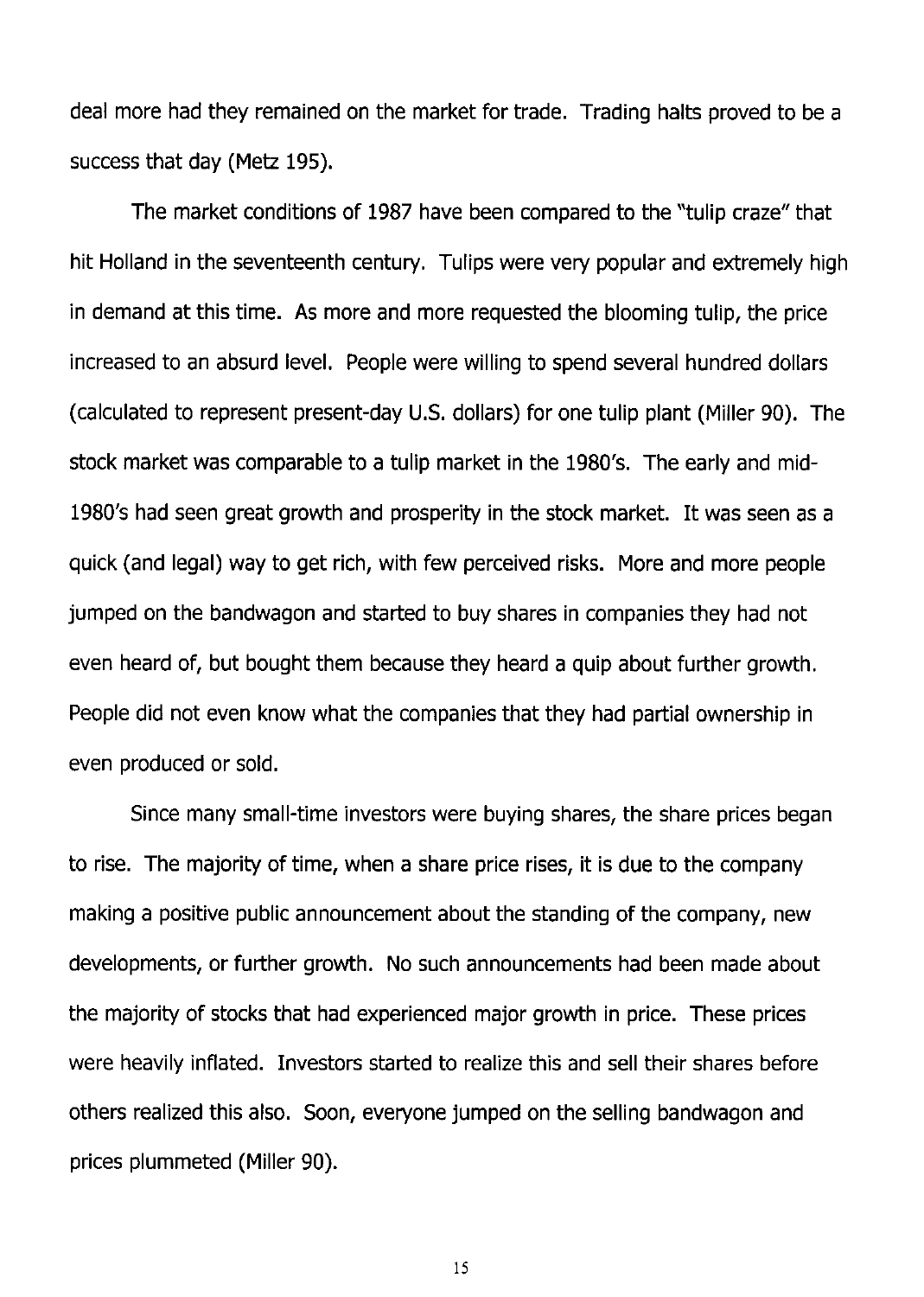deal more had they remained on the market for trade. Trading halts proved to be a success that day (Metz 195).

The market conditions of 1987 have been compared to the "tulip craze" that hit Holland in the seventeenth century. Tulips were very popular and extremely high in demand at this time. As more and more requested the blooming tulip, the price increased to an absurd level. People were willing to spend several hundred dollars (calculated to represent present-day U.S. dollars) for one tulip plant (Miller 90). The stock market was comparable to a tulip market in the 1980's. The early and mid-1980's had seen great growth and prosperity in the stock market. It was seen as a quick (and legal) way to get rich, with few perceived risks. More and more people jumped on the bandwagon and started to buy shares in companies they had not even heard of, but bought them because they heard a quip about further growth. People did not even know what the companies that they had partial ownership in even produced or sold.

Since many small-time investors were buying shares, the share prices began to rise. The majority of time, when a share price rises, it is due to the company making a positive public announcement about the standing of the company, new developments, or further growth. No such announcements had been made about the majority of stocks that had experienced major growth in price. These prices were heavily inflated. Investors started to realize this and sell their shares before others realized this also. Soon, everyone jumped on the selling bandwagon and prices plummeted (Miller 90).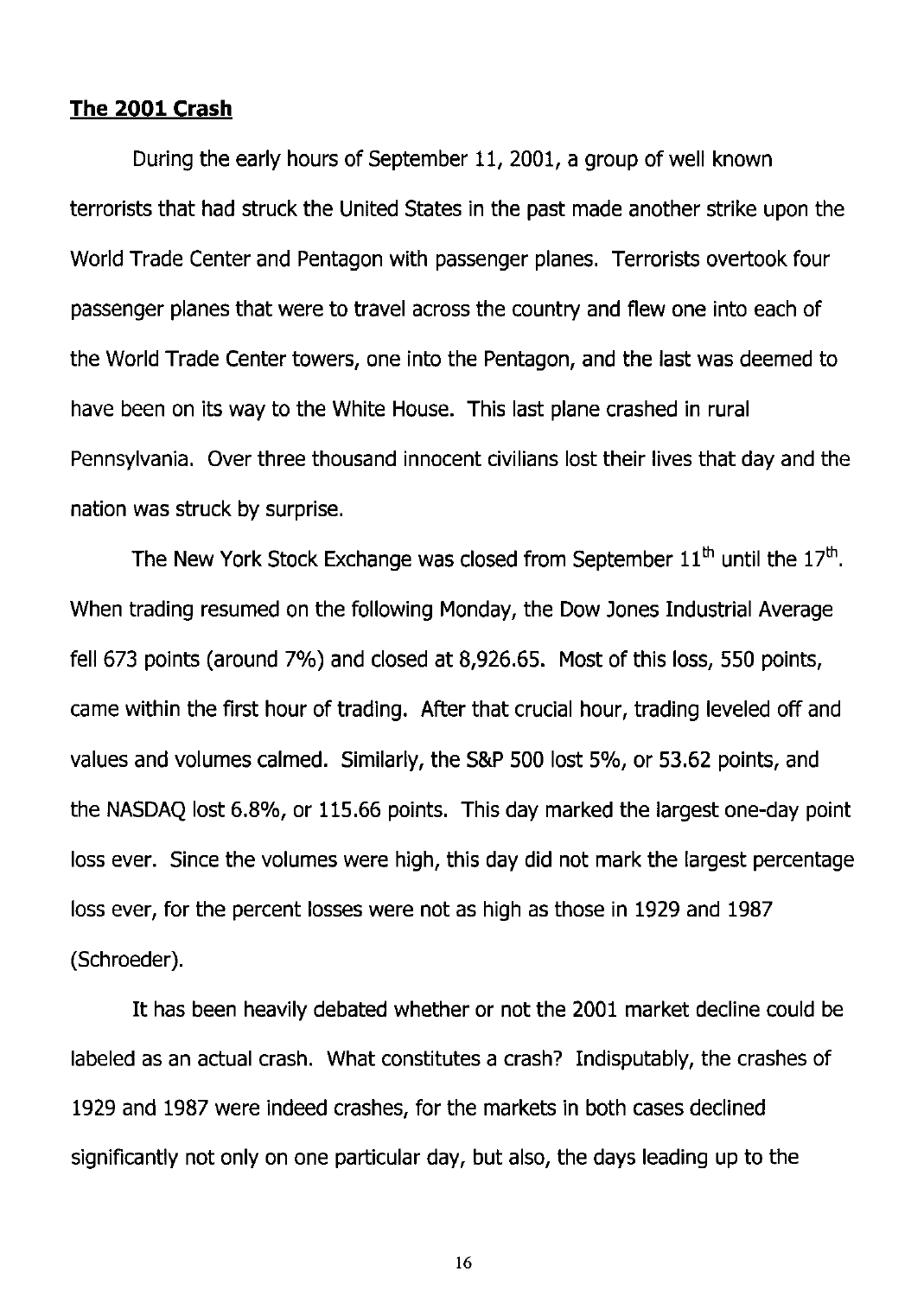#### **The 2001 Crash**

During the early hours of September 11, 2001, a group of well known terrorists that had struck the United States in the past made another strike upon the World Trade Center and Pentagon with passenger planes. Terrorists overtook four passenger planes that were to travel across the country and flew one into each of the World Trade Center towers, one into the Pentagon, and the last was deemed to have been on its way to the White House. This last plane crashed in rural Pennsylvania. Over three thousand innocent civilians lost their lives that day and the nation was struck by surprise.

The New York Stock Exchange was closed from September  $11<sup>th</sup>$  until the  $17<sup>th</sup>$ . When trading resumed on the following Monday, the Dow Jones Industrial Average fell 673 points (around 7%) and closed at  $8,926.65$ . Most of this loss, 550 points, came within the first hour of trading. After that crucial hour, trading leveled off and values and volumes calmed. Similarly, the S&P 500 lost 5%, or 53.62 points, and the NASDAQ lost 6.8%, or 115.66 points. This day marked the largest one-day point loss ever. Since the volumes were high, this day did not mark the largest percentage loss ever, for the percent losses were not as high as those in 1929 and 1987 (Schroeder).

It has been heavily debated whether or not the 2001 market decline could be labeled as an actual crash. What constitutes a crash? Indisputably, the crashes of 1929 and 1987 were indeed crashes, for the markets in both cases declined significantly not only on one particular day, but also, the days leading up to the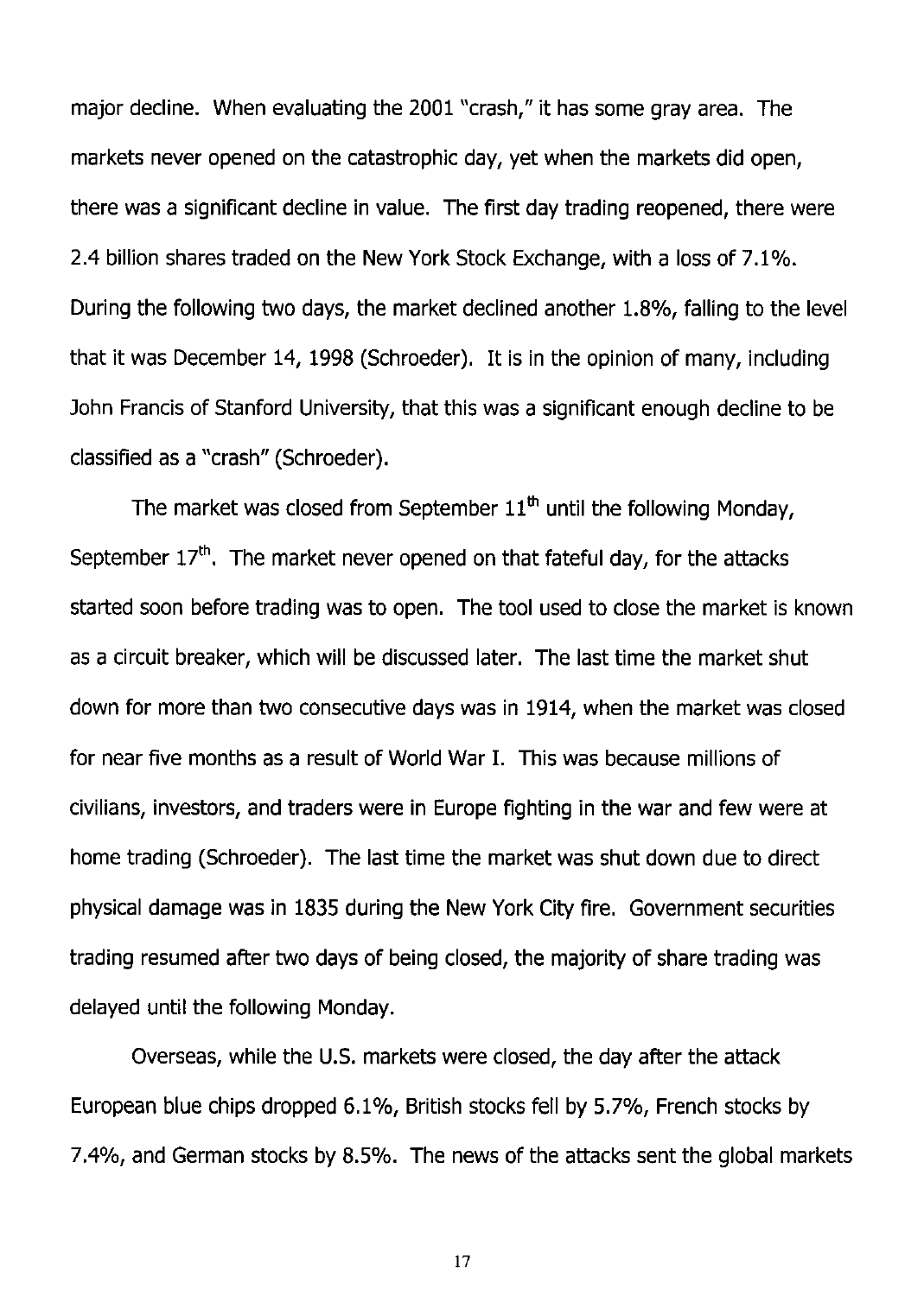major decline. When evaluating the 2001 "crash," it has some gray area. The markets never opened on the catastrophic day, yet when the markets did open, there was a significant decline in value. The first day trading reopened, there were 2.4 billion shares traded on the New York Stock Exchange, with a loss of 7.1 %. During the following two days, the market declined another 1.8%, falling to the level that it was December 14, 1998 (Schroeder). It is in the opinion of many, including John Francis of Stanford University, that this was a significant enough decline to be classified as a "crash" (Schroeder).

The market was closed from September  $11<sup>th</sup>$  until the following Monday, September  $17<sup>th</sup>$ . The market never opened on that fateful day, for the attacks started soon before trading was to open. The tool used to close the market is known as a circuit breaker, which will be discussed later. The last time the market shut down for more than two consecutive days was in 1914, when the market was closed for near five months as a result of World War I. This was because millions of civilians, investors, and traders were in Europe fighting in the war and few were at home trading (Schroeder). The last time the market was shut down due to direct physical damage was in 1835 during the New York City fire. Government securities trading resumed after two days of being closed, the majority of share trading was delayed until the following Monday.

Overseas, while the U.s. markets were closed, the day after the attack European blue chips dropped 6.1%, British stocks fell by 5.7%, French stocks by 7.4%, and German stocks by 8.5%. The news of the attacks sent the global markets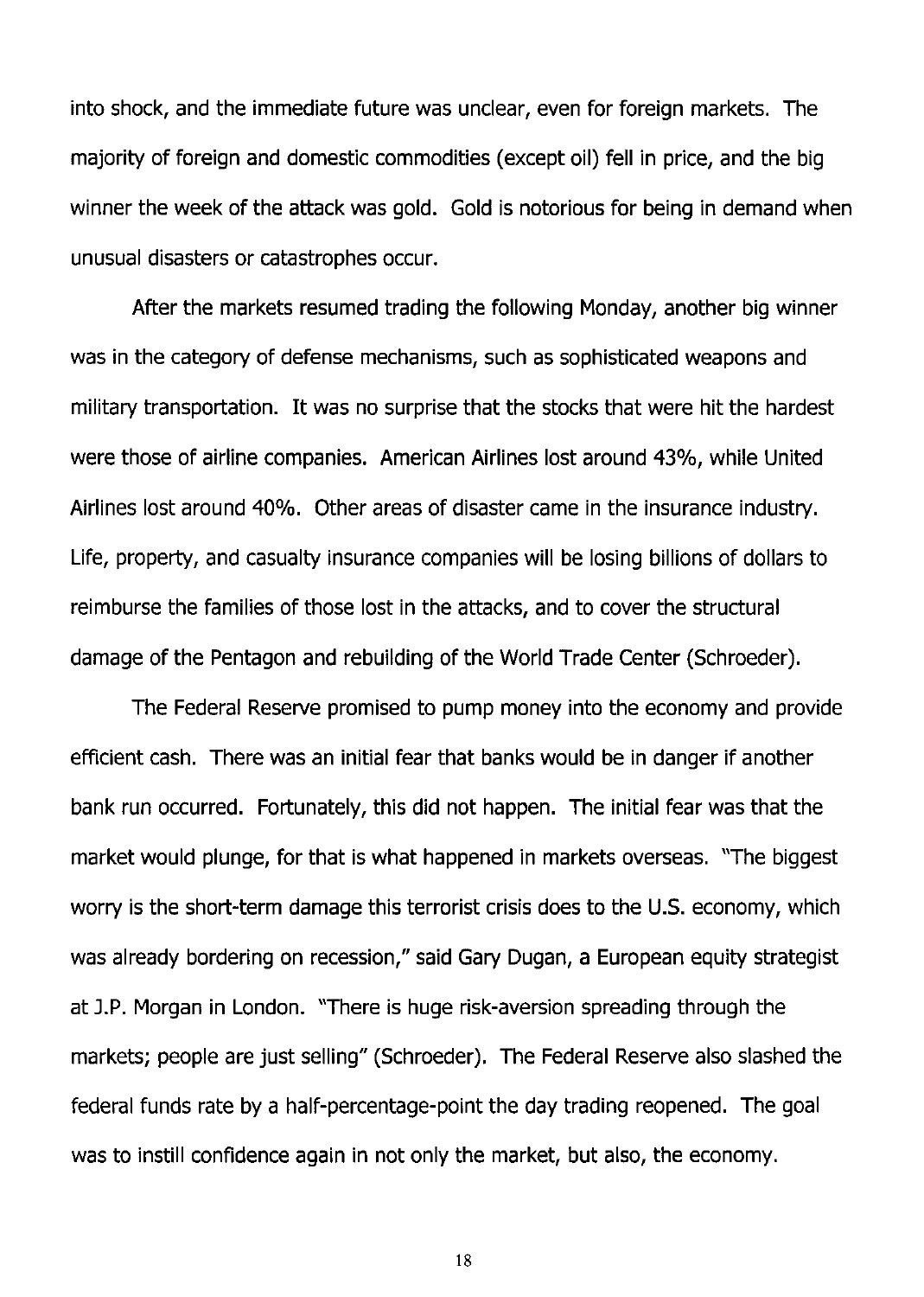into shock, and the immediate future was unclear, even for foreign markets. The majority of foreign and domestic commodities (except oil) fell in price, and the big winner the week of the attack was gold. Gold is notorious for being in demand when unusual disasters or catastrophes occur.

After the markets resumed trading the following Monday, another big winner was in the category of defense mechanisms, such as sophisticated weapons and military transportation. It was no surprise that the stocks that were hit the hardest were those of airline companies. American Airlines lost around 43%, while United Airlines lost around 40%. Other areas of disaster came in the insurance industry. Life, property, and casualty insurance companies will be losing billions of dollars to reimburse the families of those lost in the attacks, and to cover the structural damage of the Pentagon and rebuilding of the World Trade Center (Schroeder).

The Federal Reserve promised to pump money into the economy and provide efficient cash. There was an initial fear that banks would be in danger if another bank run occurred. Fortunately, this did not happen. The initial fear was that the market would plunge, for that is what happened in markets overseas. "The biggest worry is the short-term damage this terrorist crisis does to the U.S. economy, which was already bordering on recession," said Gary Dugan, a European equity strategist at J.P. Morgan in London. "There is huge risk-aversion spreading through the markets; people are just selling" (Schroeder). The Federal Reserve also slashed the federal funds rate by a half-percentage-point the day trading reopened. The goal was to instill confidence again in not only the market, but also, the economy.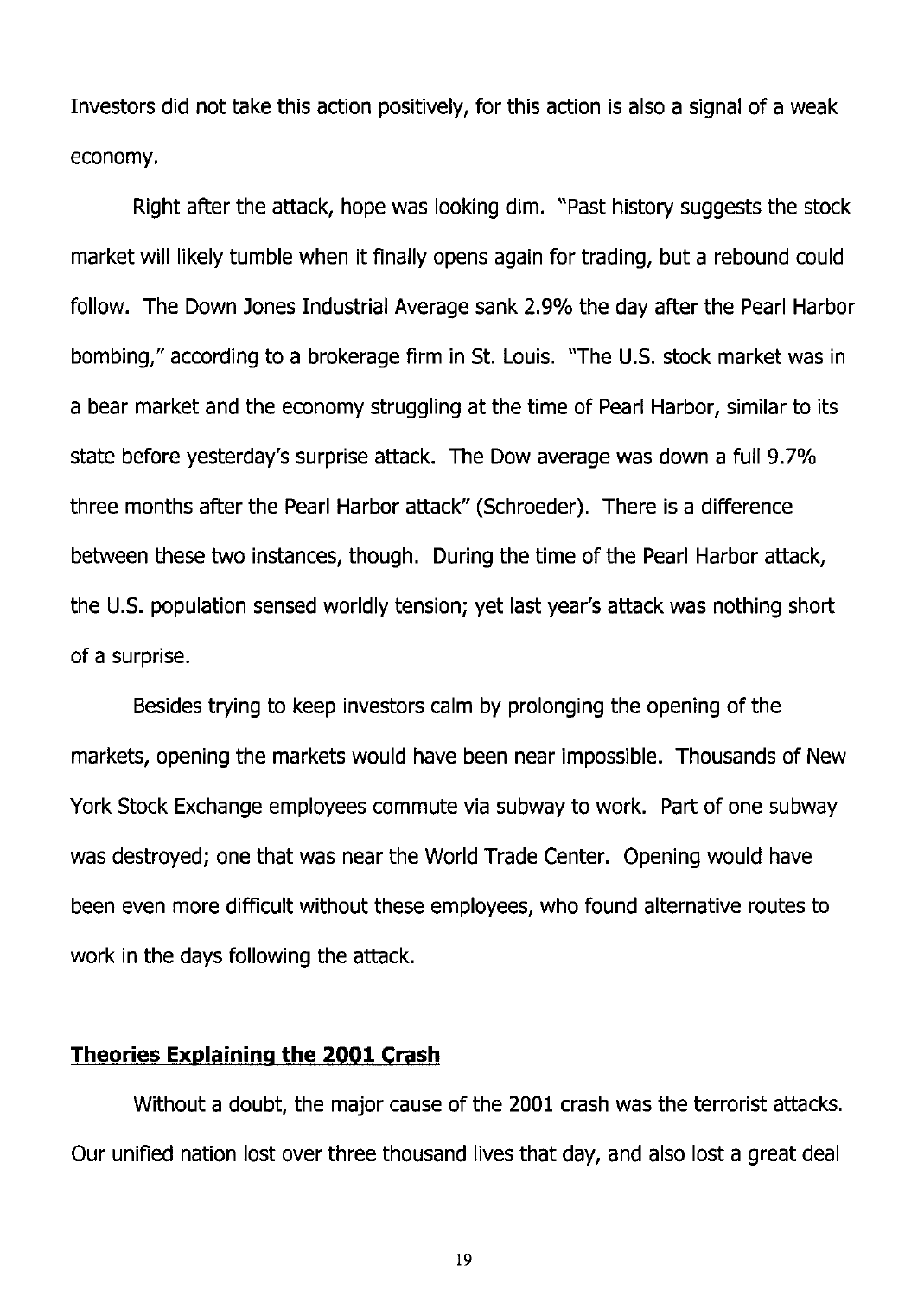Investors did not take this action positively, for this action is also a signal of a weak economy.

Right after the attack, hope was looking dim. "Past history suggests the stock market will likely tumble when it finally opens again for trading, but a rebound could follow. The Down Jones Industrial Average sank 2.9% the day after the Pearl Harbor bombing," according to a brokerage firm in St. Louis. "The U.S. stock market was in a bear market and the economy struggling at the time of Pearl Harbor, similar to its state before yesterday's surprise attack. The Dow average was down a full 9.7% three months after the Pearl Harbor attack" (Schroeder). There is a difference between these two instances, though. During the time of the Pearl Harbor attack, the U.s. population sensed worldly tension; yet last year's attack was nothing short of a surprise.

Besides trying to keep investors calm by prolonging the opening of the markets, opening the markets would have been near impossible. Thousands of New York Stock Exchange employees commute via subway to work. Part of one subway was destroyed; one that was near the World Trade Center. Opening would have been even more difficult without these employees, who found alternative routes to work in the days following the attack.

#### **Theories Explaining the 2001 Crash**

Without a doubt, the major cause of the 2001 crash was the terrorist attacks. Our unified nation lost over three thousand lives that day, and also lost a great deal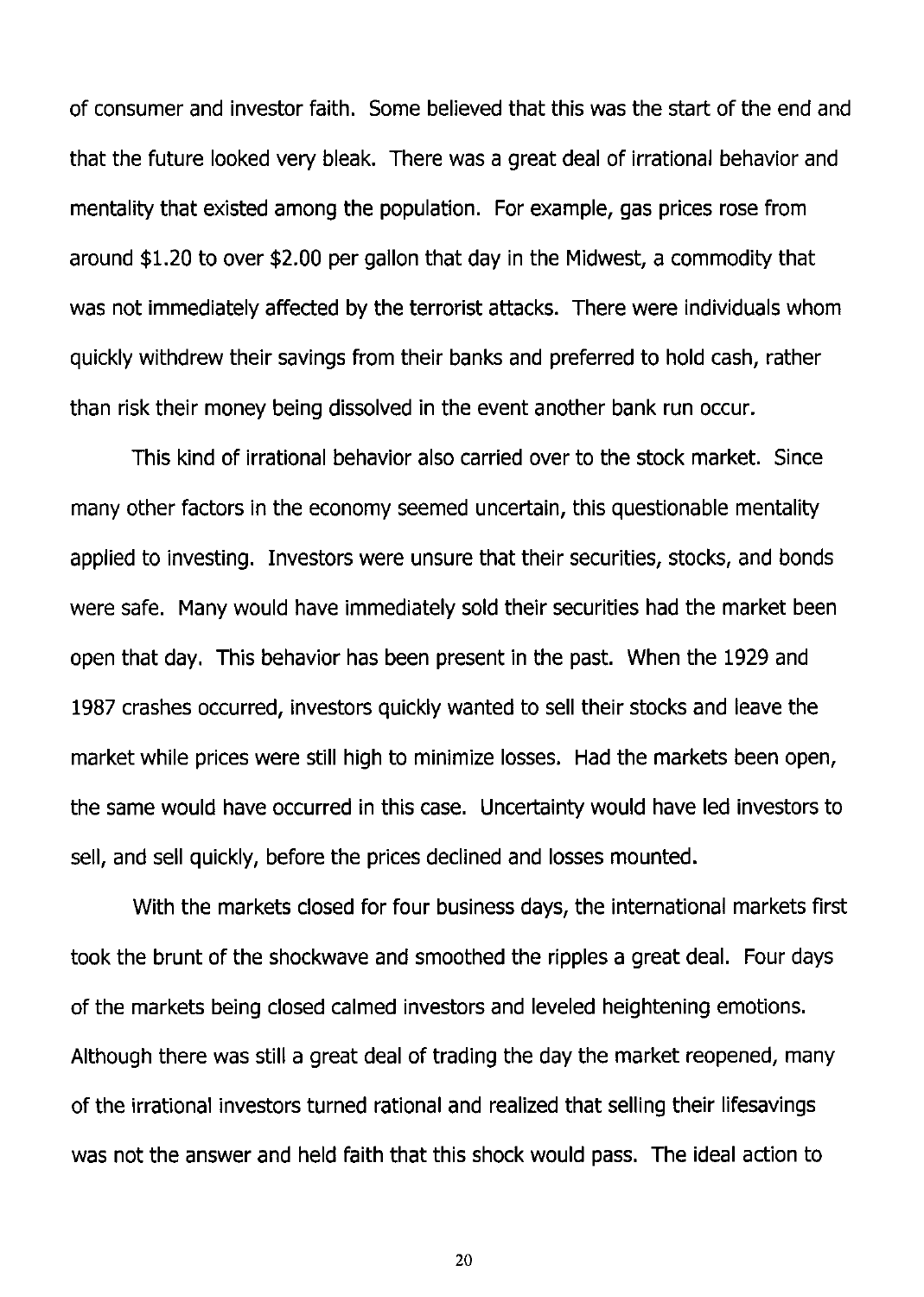of consumer and investor faith. Some believed that this was the start of the end and that the future looked very bleak. There was a great deal of irrational behavior and mentality that existed among the population. For example, gas prices rose from around \$1.20 to over \$2.00 per gallon that day in the Midwest, a commodity that was not immediately affected by the terrorist attacks. There were individuals whom quickly withdrew their savings from their banks and preferred to hold cash, rather than risk their money being dissolved in the event another bank run occur.

This kind of irrational behavior also carried over to the stock market. Since many other factors in the economy seemed uncertain, this questionable mentality applied to investing. Investors were unsure that their securities, stocks, and bonds were safe. Many would have immediately sold their securities had the market been open that day. This behavior has been present in the past. When the 1929 and 1987 crashes occurred, investors quickly wanted to sell their stocks and leave the market while prices were still high to minimize losses. Had the markets been open, the same would have occurred in this case. Uncertainty would have led investors to sell, and sell quickly, before the prices declined and losses mounted.

With the markets closed for four business days, the international markets first took the brunt of the shockwave and smoothed the ripples a great deal. Four days of the markets being closed calmed investors and leveled heightening emotions. Although there was still a great deal of trading the day the market reopened, many of the irrational investors turned rational and realized that selling their lifesavings was not the answer and held faith that this shock would pass. The ideal action to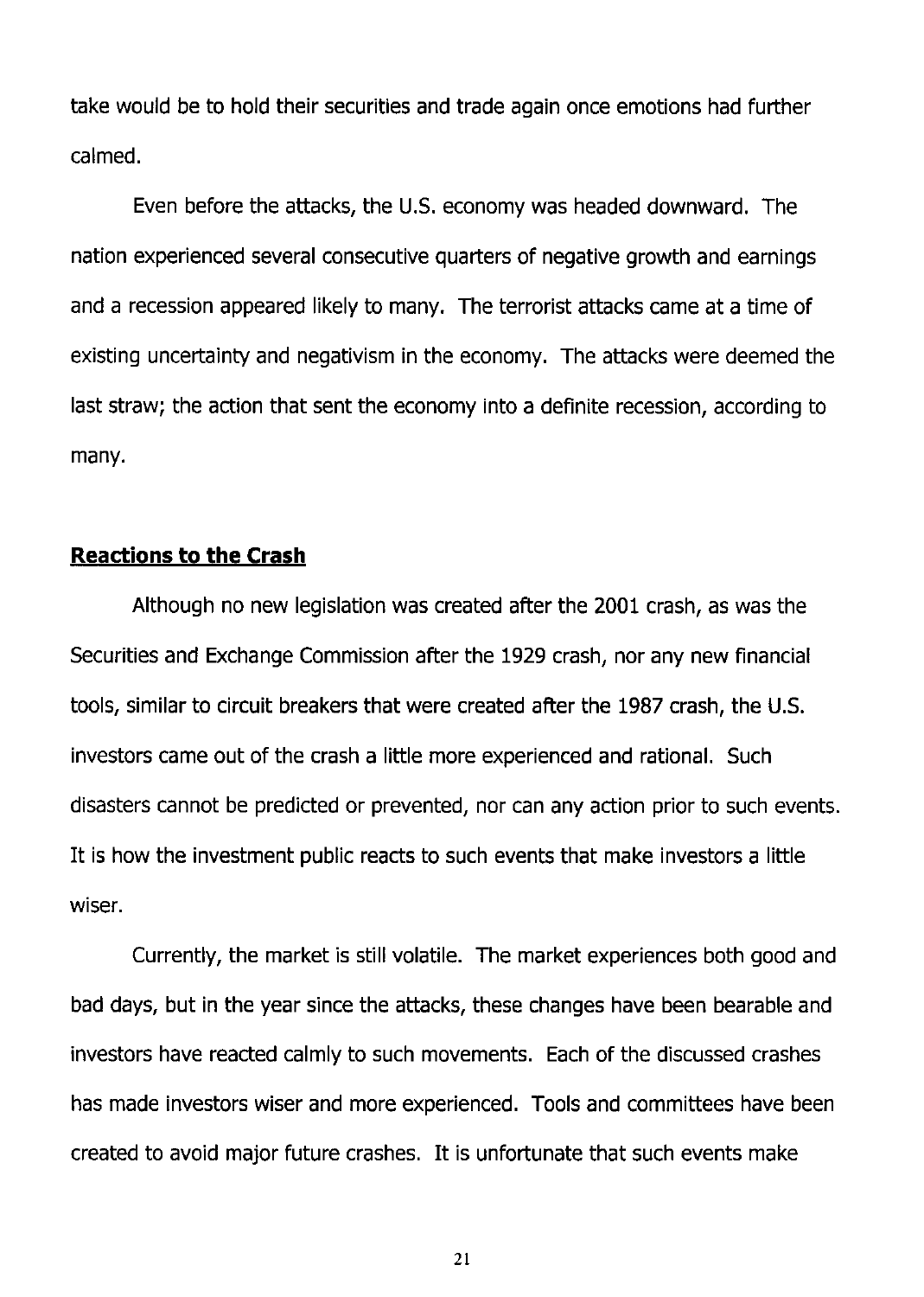take would be to hold their securities and trade again once emotions had further calmed.

Even before the attacks, the U.S. economy was headed downward. The nation experienced several consecutive quarters of negative growth and earnings and a recession appeared likely to many. The terrorist attacks came at a time of existing uncertainty and negativism in the economy. The attacks were deemed the last straw; the action that sent the economy into a definite recession, according to many.

## **Reactions to the Crash**

Although no new legislation was created after the 2001 crash, as was the Securities and Exchange Commission after the 1929 crash, nor any new financial tools, similar to circuit breakers that were created after the 1987 crash, the U.s. investors came out of the crash a little more experienced and rational. Such disasters cannot be predicted or prevented, nor can any action prior to such events. It is how the investment public reacts to such events that make investors a little wiser.

Currently, the market is still volatile. The market experiences both good and bad days, but in the year since the attacks, these changes have been bearable and investors have reacted calmly to such movements. Each of the discussed crashes has made investors wiser and more experienced. Tools and committees have been created to avoid major future crashes. It is unfortunate that such events make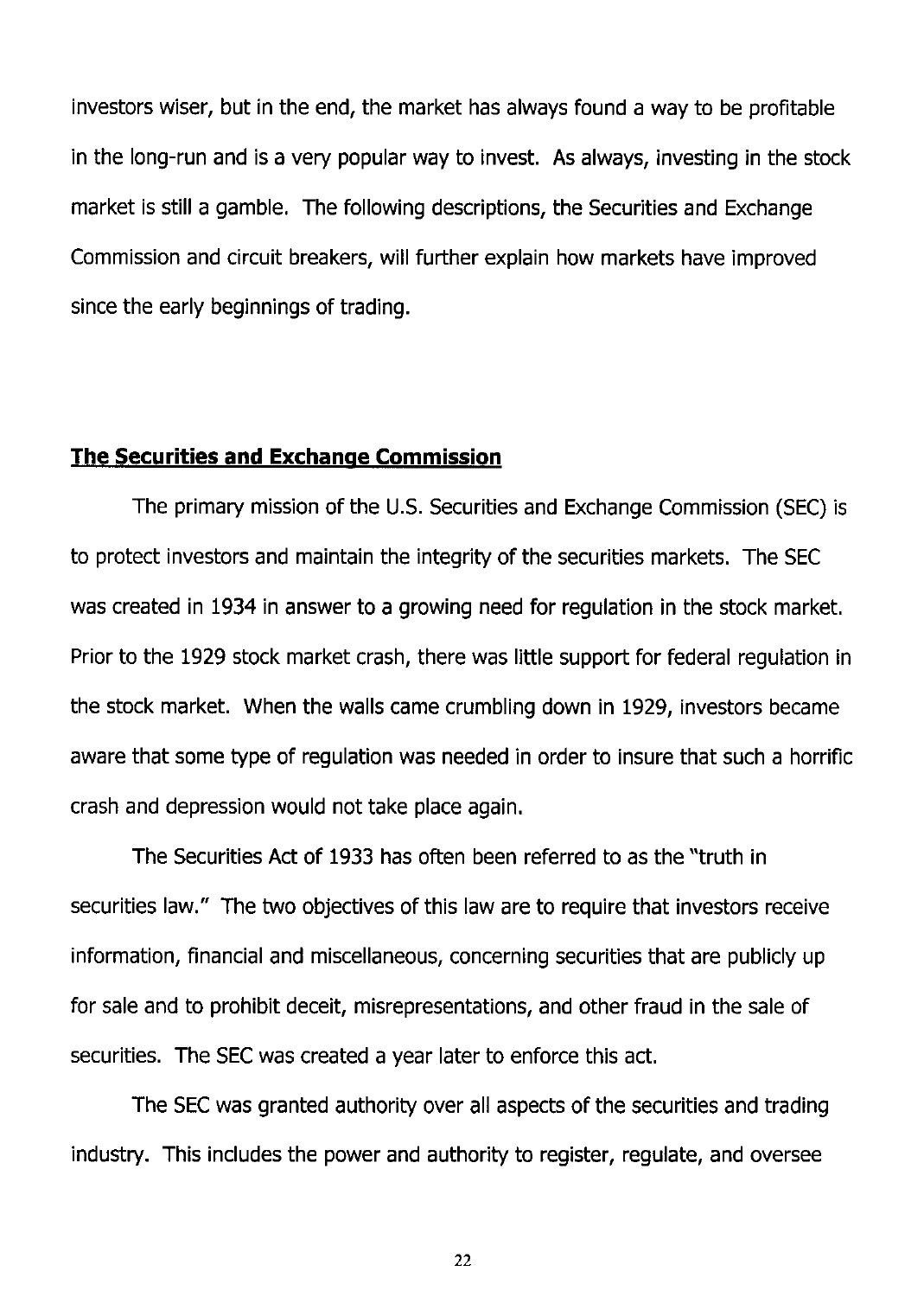investors wiser, but in the end, the market has always found a way to be profitable in the long-run and is a very popular way to invest. As always, investing in the stock market is still a gamble. The following descriptions, the Securities and Exchange Commission and circuit breakers, will further explain how markets have improved since the early beginnings of trading.

#### **The Securities and Exchange Commission**

The primary mission of the U.s. Securities and Exchange Commission (SEC) is to protect investors and maintain the integrity of the securities markets. The SEC was created in 1934 in answer to a growing need for regulation in the stock market. Prior to the 1929 stock market crash, there was little support for federal regulation in the stock market. When the walls came crumbling down in 1929, investors became aware that some type of regulation was needed in order to insure that such a horrific crash and depression would not take place again.

The Securities Act of 1933 has often been referred to as the "truth in securities law." The two objectives of this law are to require that investors receive information, financial and miscellaneous, concerning securities that are publicly up for sale and to prohibit deceit, misrepresentations, and other fraud in the sale of securities. The SEC was created a year later to enforce this act.

The SEC was granted authority over all aspects of the securities and trading industry. This includes the power and authority to register, regulate, and oversee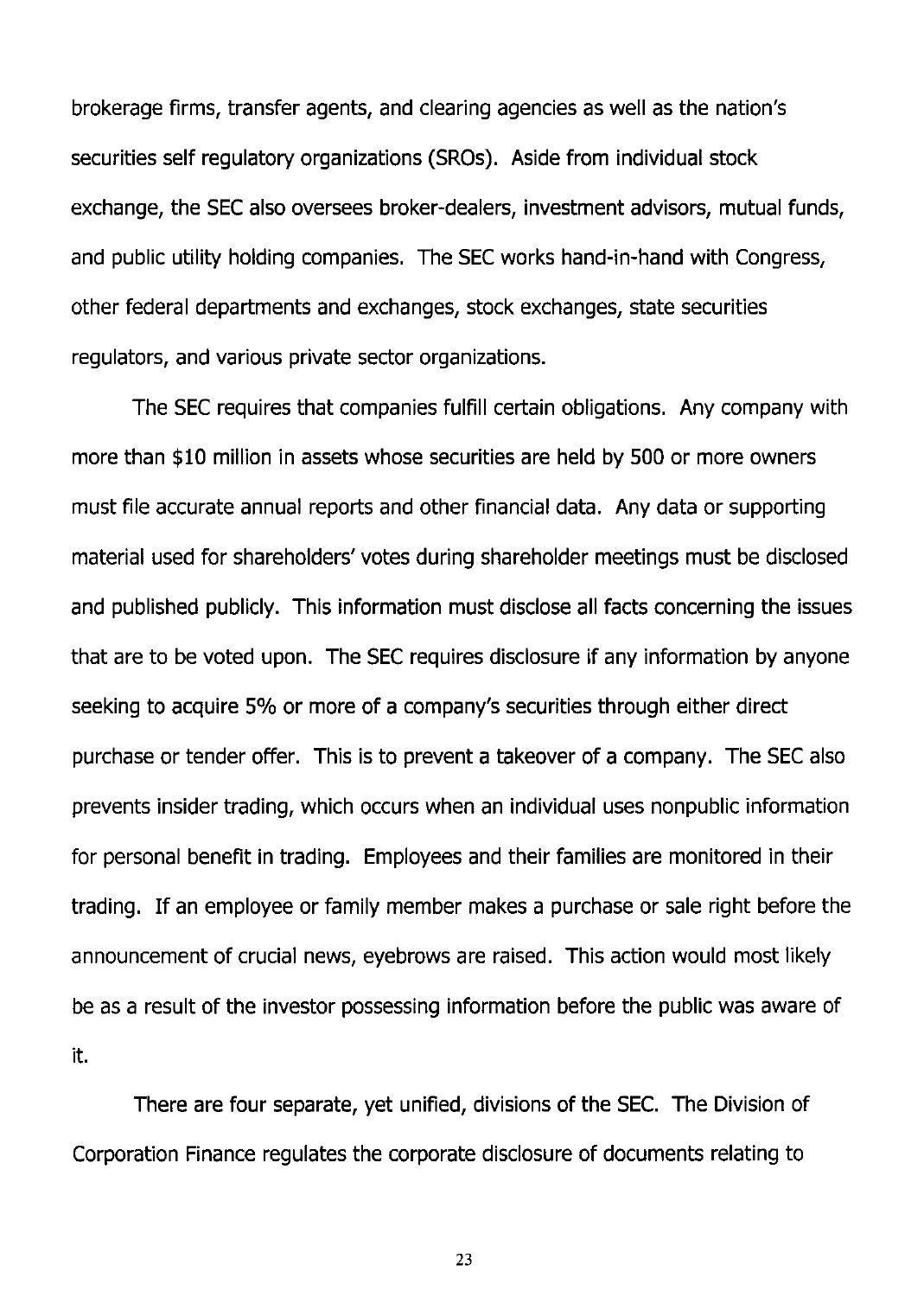brokerage firms, transfer agents, and clearing agencies as well as the nation's securities self regulatory organizations (SROs). Aside from individual stock exchange, the SEC also oversees broker-dealers, investment advisors, mutual funds, and public utility holding companies. The SEC works hand-in-hand with Congress, other federal departments and exchanges, stock exchanges, state securities regulators, and various private sector organizations.

The SEC requires that companies fulfill certain obligations. Any company with more than \$10 million in assets whose securities are held by 500 or more owners must file accurate annual reports and other financial data. Any data or supporting material used for shareholders' votes during shareholder meetings must be disclosed and published publicly. This information must disclose all facts concerning the issues that are to be voted upon. The SEC requires disclosure if any information by anyone seeking to acquire 5% or more of a company's securities through either direct purchase or tender offer. This is to prevent a takeover of a company. The SEC also prevents insider trading, which occurs when an individual uses nonpublic information for personal benefit in trading. Employees and their families are monitored in their trading. If an employee or family member makes a purchase or sale right before the announcement of crucial news, eyebrows are raised. This action would most likely be as a result of the investor possessing information before the public was aware of it.

There are four separate, yet unified, divisions of the SEC. The Division of Corporation Finance regulates the corporate disclosure of documents relating to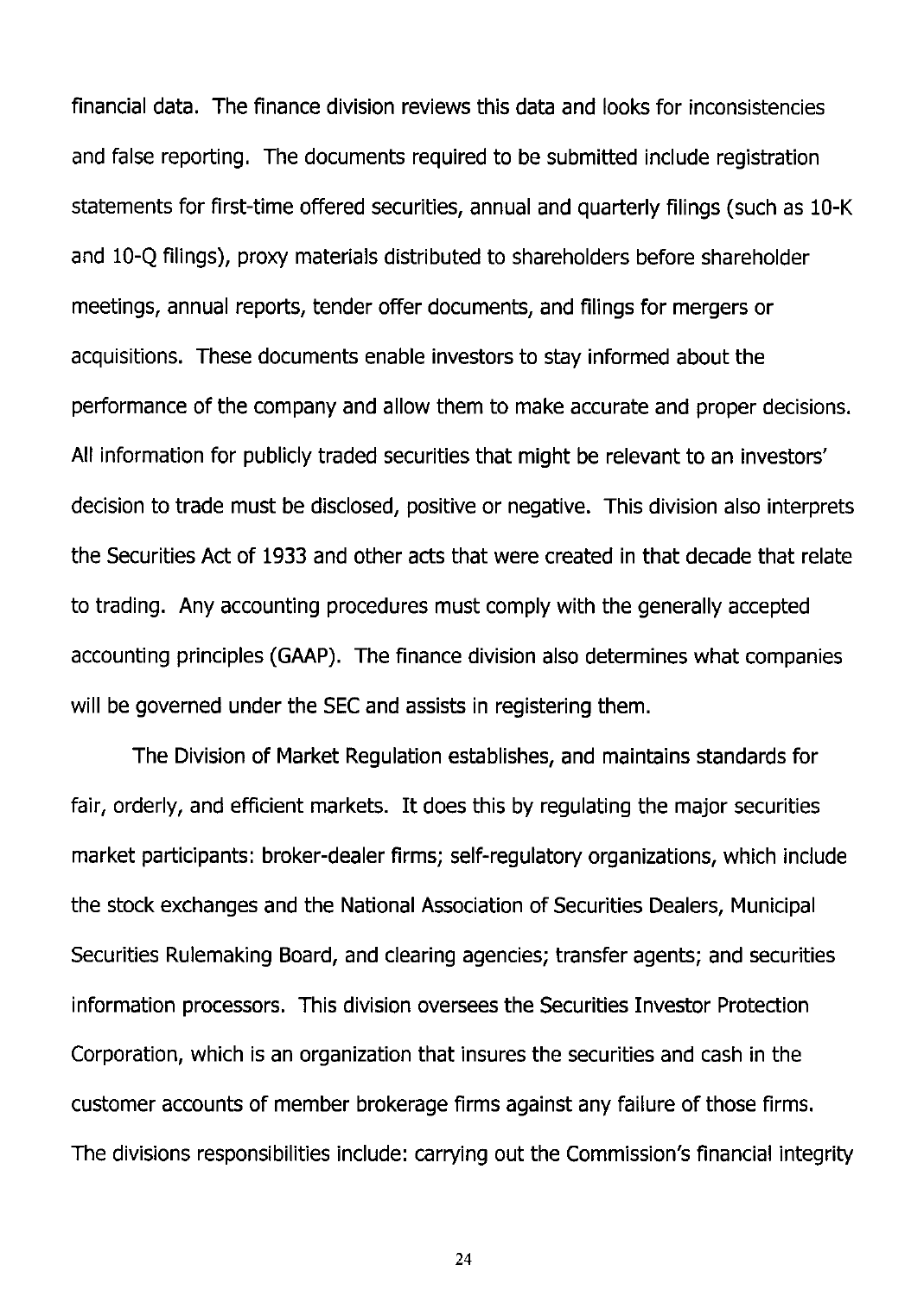financial data. The finance division reviews this data and looks for inconsistencies and false reporting. The documents required to be submitted include registration statements for first-time offered securities, annual and quarterly filings (such as 10-K and 10-Q filings), proxy materials distributed to shareholders before shareholder meetings, annual reports, tender offer documents, and filings for mergers or acquisitions. These documents enable investors to stay informed about the performance of the company and allow them to make accurate and proper decisions. All information for publicly traded securities that might be relevant to an investors' decision to trade must be disclosed, positive or negative. This division also interprets the Securities Act of 1933 and other acts that were created in that decade that relate to trading. Any accounting procedures must comply with the generally accepted accounting principles (GAAP). The finance division also determines what companies will be governed under the SEC and assists in registering them.

The Division of Market Regulation establishes, and maintains standards for fair, orderly, and efficient markets. It does this by regulating the major securities market participants: broker-dealer firms; self-regulatory organizations, which include the stock exchanges and the National Association of Securities Dealers, Municipal Securities Rulemaking Board, and clearing agencies; transfer agents; and securities information processors. This division oversees the Securities Investor Protection Corporation, which is an organization that insures the securities and cash in the customer accounts of member brokerage firms against any failure of those firms. The divisions responsibilities include: carrying out the Commission's financial integrity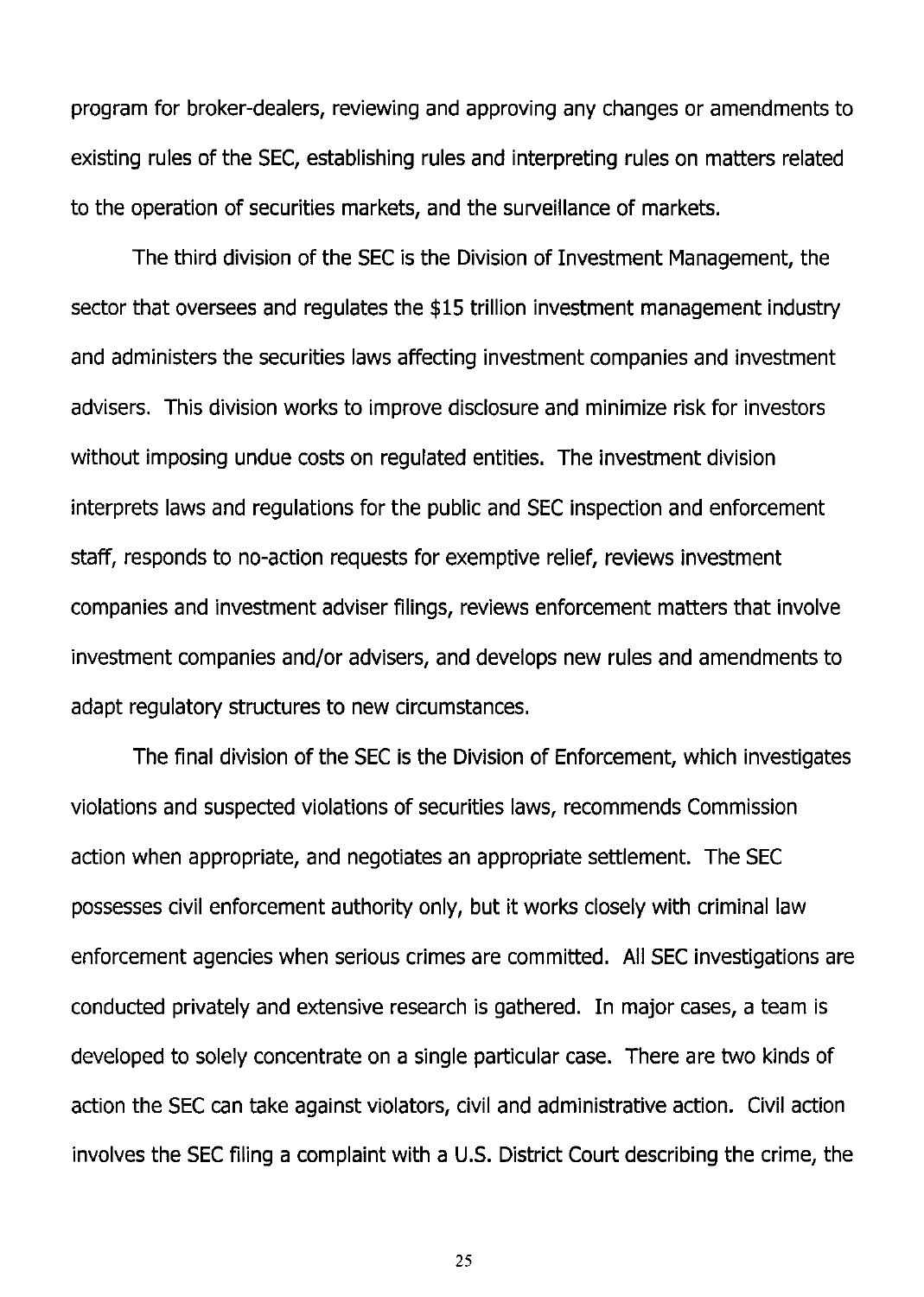program for broker-dealers, reviewing and approving any changes or amendments to existing rules of the SEC, establishing rules and interpreting rules on matters related to the operation of securities markets, and the surveillance of markets.

The third division of the SEC is the Division of Investment Management, the sector that oversees and regulates the \$15 trillion investment management industry and administers the securities laws affecting investment companies and investment advisers. This division works to improve disclosure and minimize risk for investors without imposing undue costs on regulated entities. The investment division interprets laws and regulations for the public and SEC inspection and enforcement staff, responds to no-action requests for exemptive relief, reviews investment companies and investment adviser filings, reviews enforcement matters that involve investment companies and/or advisers, and develops new rules and amendments to adapt regulatory structures to new circumstances.

The final division of the SEC is the Division of Enforcement, which investigates violations and suspected violations of securities laws, recommends Commission action when appropriate, and negotiates an appropriate settlement. The SEC possesses civil enforcement authority only, but it works closely with criminal law enforcement agencies when serious crimes are committed. All SEC investigations are conducted privately and extensive research is gathered. In major cases, a team is developed to solely concentrate on a single particular case. There are two kinds of action the SEC can take against violators, civil and administrative action. Civil action involves the SEC filing a complaint with a U.S. District Court describing the crime, the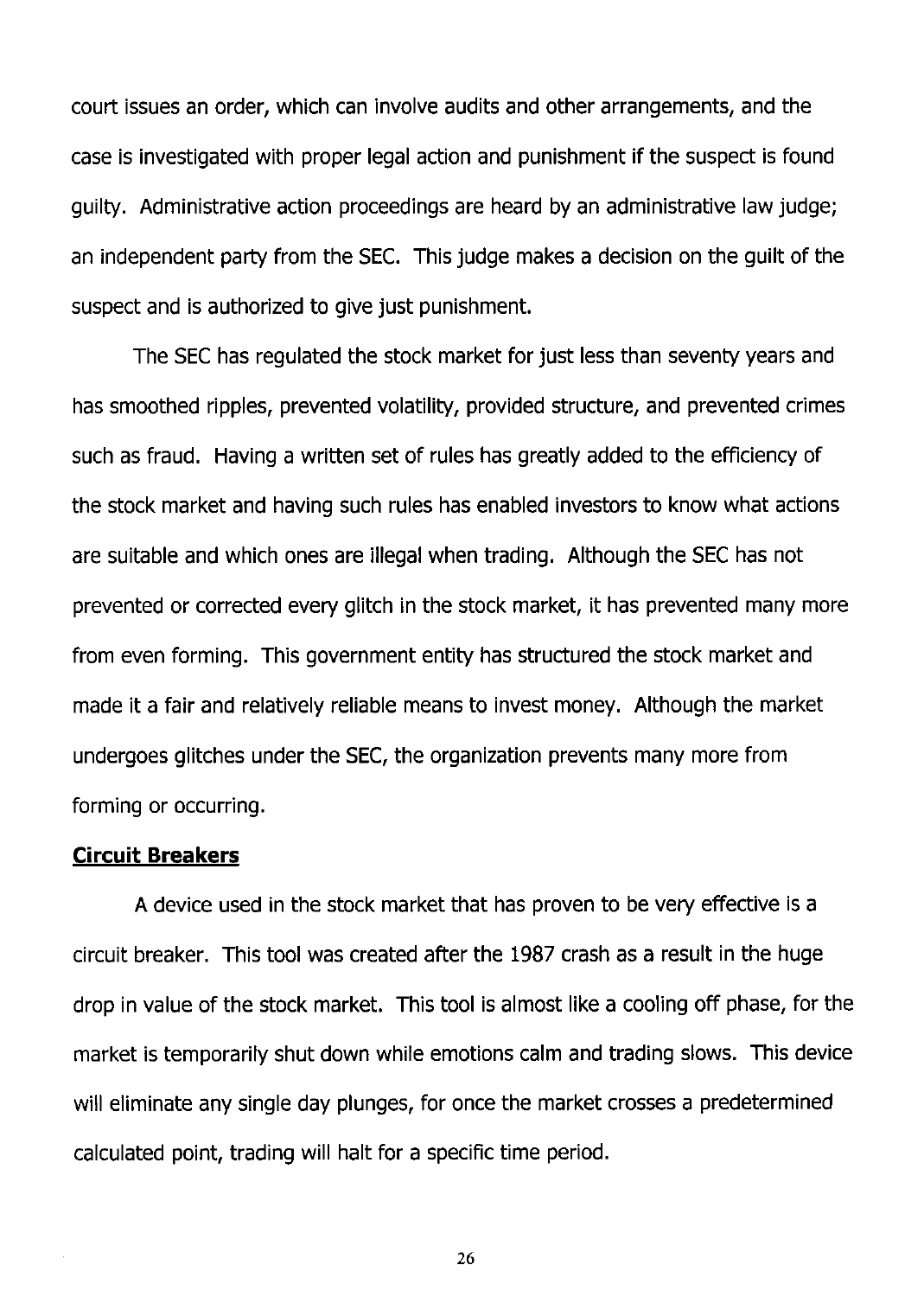court issues an order, which can involve audits and other arrangements, and the case is investigated with proper legal action and punishment if the suspect is found guilty. Administrative action proceedings are heard by an administrative law judge; an independent party from the SEC. This judge makes a decision on the guilt of the suspect and is authorized to give just punishment.

The SEC has regulated the stock market for just less than seventy years and has smoothed ripples, prevented volatility, provided structure, and prevented crimes such as fraud. Having a written set of rules has greatly added to the efficiency of the stock market and having such rules has enabled investors to know what actions are suitable and which ones are illegal when trading. Although the SEC has not prevented or corrected every glitch in the stock market, it has prevented many more from even forming. This government entity has structured the stock market and made it a fair and relatively reliable means to invest money. Although the market undergoes glitches under the SEC, the organization prevents many more from forming or occurring.

#### **Circuit Breakers**

A device used in the stock market that has proven to be very effective is a circuit breaker. This tool was created after the 1987 crash as a result in the huge drop in value of the stock market. This tool is almost like a cooling off phase, for the market is temporarily shut down while emotions calm and trading slows. This device will eliminate any single day plunges, for once the market crosses a predetermined calculated point, trading will halt for a specific time period.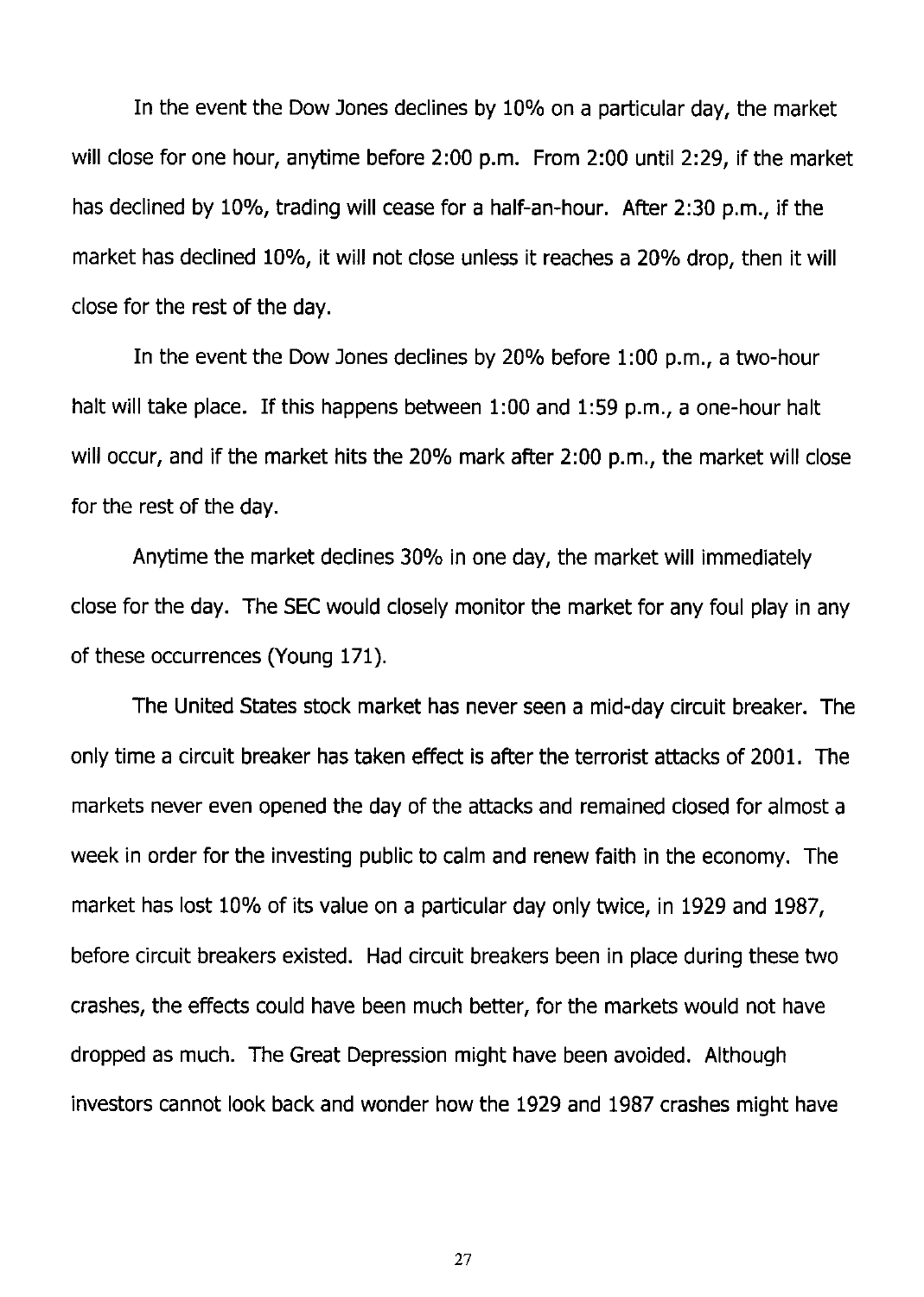In the event the Dow Jones declines by 10% on a particular day, the market will close for one hour, anytime before 2:00 p.m. From 2:00 until 2:29, if the market has declined by 10%, trading will cease for a half-an-hour. After 2:30 p.m., if the market has declined 10%, it will not close unless it reaches a 20% drop, then it will close for the rest of the day.

In the event the Dow Jones declines by 20% before 1:00 p.m., a two-hour halt will take place. If this happens between 1:00 and 1:59 p.m., a one-hour halt will occur, and if the market hits the 20% mark after 2:00 p.m., the market will close for the rest of the day.

Anytime the market declines 30% in one day, the market will immediately close for the day. The SEC would closely monitor the market for any foul play in any of these occurrences (Young 171).

The United States stock market has never seen a mid-day circuit breaker. The only time a circuit breaker has taken effect is after the terrorist attacks of 2001. The markets never even opened the day of the attacks and remained closed for almost a week in order for the investing public to calm and renew faith in the economy. The market has lost 10% of its value on a particular day only twice, in 1929 and 1987, before circuit breakers existed. Had circuit breakers been in place during these two crashes, the effects could have been much better, for the markets would not have dropped as much. The Great Depression might have been avoided. Although investors cannot look back and wonder how the 1929 and 1987 crashes might have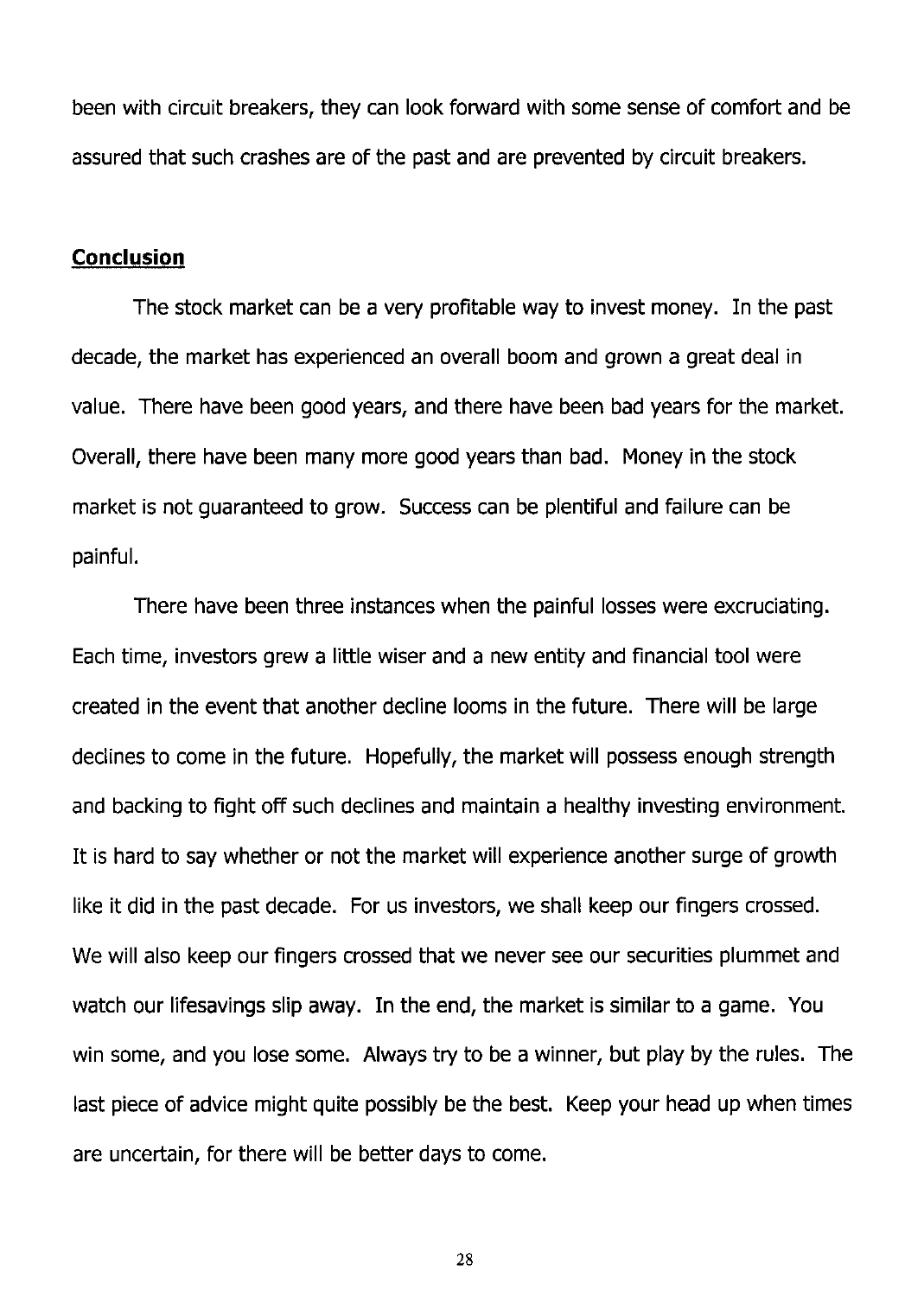been with circuit breakers, they can look forward with some sense of comfort and be assured that such crashes are of the past and are prevented by circuit breakers.

#### **Conclusion**

The stock market can be a very profitable way to invest money. In the past decade, the market has experienced an overall boom and grown a great deal in value. There have been good years, and there have been bad years for the market. Overall, there have been many more good years than bad. Money in the stock market is not guaranteed to grow. Success can be plentiful and failure can be painful.

There have been three instances when the painful losses were excruciating. Each time, investors grew a little wiser and a new entity and financial tool were created in the event that another decline looms in the future. There will be large declines to come in the future. Hopefully, the market will possess enough strength and backing to fight off such declines and maintain a healthy investing environment. It is hard to say whether or not the market will experience another surge of growth like it did in the past decade. For us investors, we shall keep our fingers crossed. We will also keep our fingers crossed that we never see our securities plummet and watch our lifesavings slip away. In the end, the market is similar to a game. You win some, and you lose some. Always try to be a winner, but play by the rules. The last piece of advice might quite possibly be the best. Keep your head up when times are uncertain, for there will be better days to come.